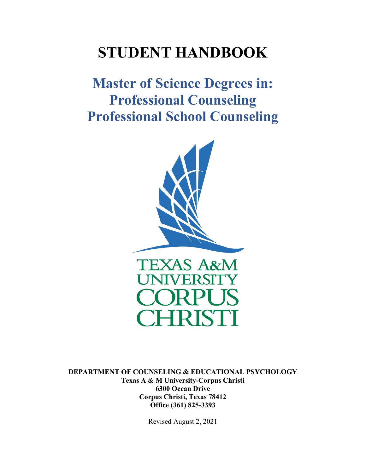# **STUDENT HANDBOOK**

**Master of Science Degrees in: Professional Counseling Professional School Counseling** 



**DEPARTMENT OF COUNSELING & EDUCATIONAL PSYCHOLOGY Texas A & M University-Corpus Christi 6300 Ocean Drive Corpus Christi, Texas 78412 Office (361) 825-3393** 

Revised August 2, 2021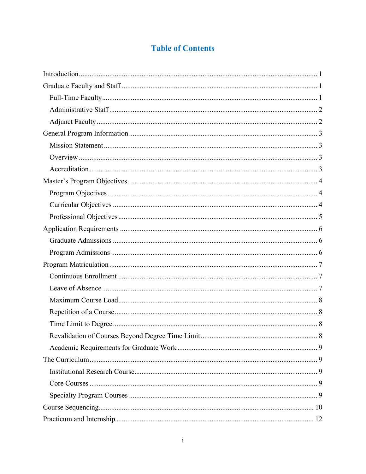# **Table of Contents**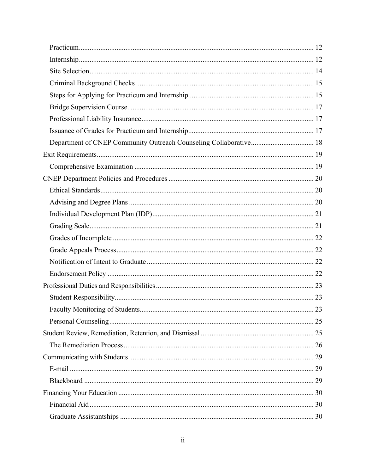| 23 |
|----|
|    |
|    |
|    |
|    |
|    |
|    |
|    |
|    |
|    |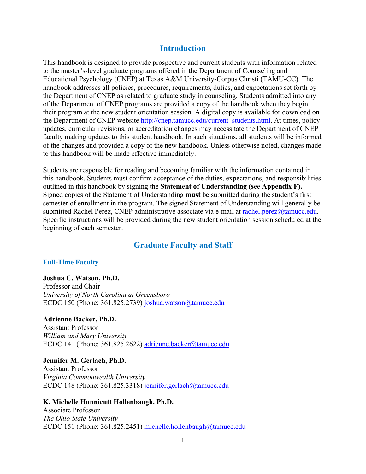# **Introduction**

This handbook is designed to provide prospective and current students with information related to the master's-level graduate programs offered in the Department of Counseling and Educational Psychology (CNEP) at Texas A&M University-Corpus Christi (TAMU-CC). The handbook addresses all policies, procedures, requirements, duties, and expectations set forth by the Department of CNEP as related to graduate study in counseling. Students admitted into any of the Department of CNEP programs are provided a copy of the handbook when they begin their program at the new student orientation session. A digital copy is available for download on the Department of CNEP website http://cnep.tamucc.edu/current\_students.html. At times, policy updates, curricular revisions, or accreditation changes may necessitate the Department of CNEP faculty making updates to this student handbook. In such situations, all students will be informed of the changes and provided a copy of the new handbook. Unless otherwise noted, changes made to this handbook will be made effective immediately.

Students are responsible for reading and becoming familiar with the information contained in this handbook. Students must confirm acceptance of the duties, expectations, and responsibilities outlined in this handbook by signing the **Statement of Understanding (see Appendix F).**  Signed copies of the Statement of Understanding **must** be submitted during the student's first semester of enrollment in the program. The signed Statement of Understanding will generally be submitted Rachel Perez, CNEP administrative associate via e-mail at rachel.perez@tamucc.edu. Specific instructions will be provided during the new student orientation session scheduled at the beginning of each semester.

# **Graduate Faculty and Staff**

### **Full-Time Faculty**

**Joshua C. Watson, Ph.D.**  Professor and Chair *University of North Carolina at Greensboro*  ECDC 150 (Phone: 361.825.2739) joshua.watson@tamucc.edu

**Adrienne Backer, Ph.D.**  Assistant Professor *William and Mary University*  ECDC 141 (Phone: 361.825.2622) adrienne.backer@tamucc.edu

**Jennifer M. Gerlach, Ph.D.**  Assistant Professor *Virginia Commonwealth University*  ECDC 148 (Phone: 361.825.3318) jennifer.gerlach@tamucc.edu

#### **K. Michelle Hunnicutt Hollenbaugh. Ph.D.**

Associate Professor *The Ohio State University*  ECDC 151 (Phone: 361.825.2451) michelle.hollenbaugh@tamucc.edu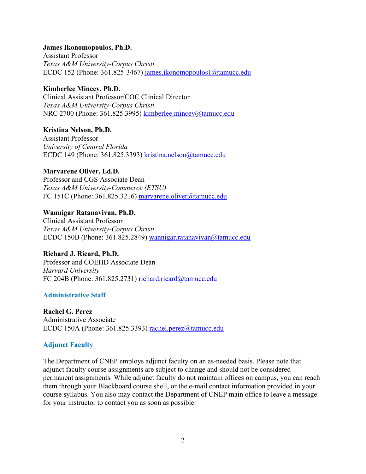#### **James Ikonomopoulos, Ph.D.**

Assistant Professor *Texas A&M University-Corpus Christi*  ECDC 152 (Phone: 361.825-3467) james.ikonomopoulos1@tamucc.edu

### **Kimberlee Mincey, Ph.D.**

Clinical Assistant Professor/COC Clinical Director *Texas A&M University-Corpus Christi*  NRC 2700 (Phone: 361.825.3995) kimberlee.mincey@tamucc.edu

### **Kristina Nelson, Ph.D.**

Assistant Professor *University of Central Florida*  ECDC 149 (Phone: 361.825.3393) kristina.nelson@tamucc.edu

### **Marvarene Oliver, Ed.D.**

Professor and CGS Associate Dean *Texas A&M University-Commerce (ETSU)*  FC 151C (Phone: 361.825.3216) marvarene.oliver@tamucc.edu

### **Wannigar Ratanavivan, Ph.D.**

Clinical Assistant Professor *Texas A&M University-Corpus Christi*  ECDC 150B (Phone: 361.825.2849) wannigar.ratanavivan@tamucc.edu

# **Richard J. Ricard, Ph.D.**

Professor and COEHD Associate Dean *Harvard University*  FC 204B (Phone: 361.825.2731) richard.ricard@tamucc.edu

# **Administrative Staff**

# **Rachel G. Perez**

Administrative Associate ECDC 150A (Phone: 361.825.3393) rachel.perez@tamucc.edu

# **Adjunct Faculty**

The Department of CNEP employs adjunct faculty on an as-needed basis. Please note that adjunct faculty course assignments are subject to change and should not be considered permanent assignments. While adjunct faculty do not maintain offices on campus, you can reach them through your Blackboard course shell, or the e-mail contact information provided in your course syllabus. You also may contact the Department of CNEP main office to leave a message for your instructor to contact you as soon as possible.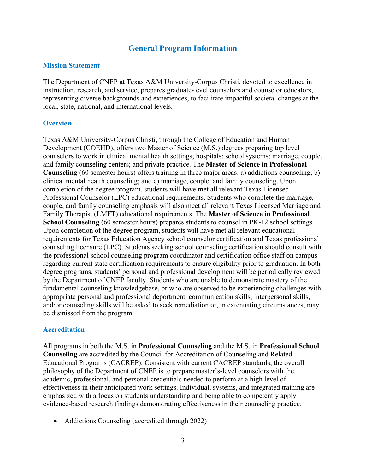# **General Program Information**

#### **Mission Statement**

The Department of CNEP at Texas A&M University-Corpus Christi, devoted to excellence in instruction, research, and service, prepares graduate-level counselors and counselor educators, representing diverse backgrounds and experiences, to facilitate impactful societal changes at the local, state, national, and international levels.

#### **Overview**

Texas A&M University-Corpus Christi, through the College of Education and Human Development (COEHD), offers two Master of Science (M.S.) degrees preparing top level counselors to work in clinical mental health settings; hospitals; school systems; marriage, couple, and family counseling centers; and private practice. The **Master of Science in Professional Counseling** (60 semester hours) offers training in three major areas: a) addictions counseling; b) clinical mental health counseling; and c) marriage, couple, and family counseling. Upon completion of the degree program, students will have met all relevant Texas Licensed Professional Counselor (LPC) educational requirements. Students who complete the marriage, couple, and family counseling emphasis will also meet all relevant Texas Licensed Marriage and Family Therapist (LMFT) educational requirements. The **Master of Science in Professional School Counseling** (60 semester hours) prepares students to counsel in PK-12 school settings. Upon completion of the degree program, students will have met all relevant educational requirements for Texas Education Agency school counselor certification and Texas professional counseling licensure (LPC). Students seeking school counseling certification should consult with the professional school counseling program coordinator and certification office staff on campus regarding current state certification requirements to ensure eligibility prior to graduation. In both degree programs, students' personal and professional development will be periodically reviewed by the Department of CNEP faculty. Students who are unable to demonstrate mastery of the fundamental counseling knowledgebase, or who are observed to be experiencing challenges with appropriate personal and professional deportment, communication skills, interpersonal skills, and/or counseling skills will be asked to seek remediation or, in extenuating circumstances, may be dismissed from the program.

### **Accreditation**

All programs in both the M.S. in **Professional Counseling** and the M.S. in **Professional School Counseling** are accredited by the Council for Accreditation of Counseling and Related Educational Programs (CACREP). Consistent with current CACREP standards, the overall philosophy of the Department of CNEP is to prepare master's-level counselors with the academic, professional, and personal credentials needed to perform at a high level of effectiveness in their anticipated work settings. Individual, systems, and integrated training are emphasized with a focus on students understanding and being able to competently apply evidence-based research findings demonstrating effectiveness in their counseling practice.

• Addictions Counseling (accredited through 2022)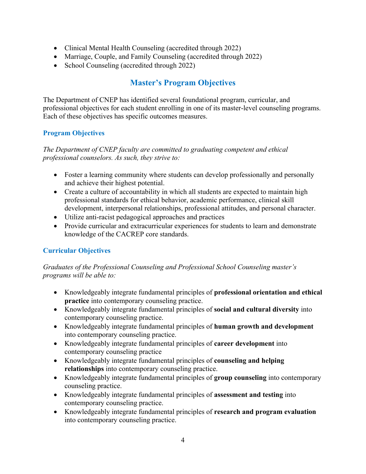- Clinical Mental Health Counseling (accredited through 2022)
- Marriage, Couple, and Family Counseling (accredited through 2022)
- School Counseling (accredited through 2022)

# **Master's Program Objectives**

The Department of CNEP has identified several foundational program, curricular, and professional objectives for each student enrolling in one of its master-level counseling programs. Each of these objectives has specific outcomes measures.

# **Program Objectives**

*The Department of CNEP faculty are committed to graduating competent and ethical professional counselors. As such, they strive to:* 

- Foster a learning community where students can develop professionally and personally and achieve their highest potential.
- Create a culture of accountability in which all students are expected to maintain high professional standards for ethical behavior, academic performance, clinical skill development, interpersonal relationships, professional attitudes, and personal character.
- Utilize anti-racist pedagogical approaches and practices
- Provide curricular and extracurricular experiences for students to learn and demonstrate knowledge of the CACREP core standards.

# **Curricular Objectives**

*Graduates of the Professional Counseling and Professional School Counseling master's programs will be able to:* 

- Knowledgeably integrate fundamental principles of **professional orientation and ethical practice** into contemporary counseling practice.
- Knowledgeably integrate fundamental principles of **social and cultural diversity** into contemporary counseling practice.
- Knowledgeably integrate fundamental principles of **human growth and development** into contemporary counseling practice.
- Knowledgeably integrate fundamental principles of **career development** into contemporary counseling practice
- Knowledgeably integrate fundamental principles of **counseling and helping relationships** into contemporary counseling practice.
- Knowledgeably integrate fundamental principles of **group counseling** into contemporary counseling practice.
- Knowledgeably integrate fundamental principles of **assessment and testing** into contemporary counseling practice.
- Knowledgeably integrate fundamental principles of **research and program evaluation** into contemporary counseling practice.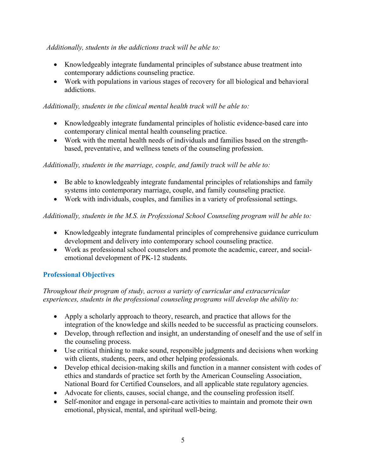# *Additionally, students in the addictions track will be able to:*

- Knowledgeably integrate fundamental principles of substance abuse treatment into contemporary addictions counseling practice.
- Work with populations in various stages of recovery for all biological and behavioral addictions.

# *Additionally, students in the clinical mental health track will be able to:*

- Knowledgeably integrate fundamental principles of holistic evidence-based care into contemporary clinical mental health counseling practice.
- Work with the mental health needs of individuals and families based on the strengthbased, preventative, and wellness tenets of the counseling profession.

# *Additionally, students in the marriage, couple, and family track will be able to:*

- Be able to knowledgeably integrate fundamental principles of relationships and family systems into contemporary marriage, couple, and family counseling practice.
- Work with individuals, couples, and families in a variety of professional settings.

# *Additionally, students in the M.S. in Professional School Counseling program will be able to:*

- Knowledgeably integrate fundamental principles of comprehensive guidance curriculum development and delivery into contemporary school counseling practice.
- Work as professional school counselors and promote the academic, career, and socialemotional development of PK-12 students.

# **Professional Objectives**

# *Throughout their program of study, across a variety of curricular and extracurricular experiences, students in the professional counseling programs will develop the ability to:*

- Apply a scholarly approach to theory, research, and practice that allows for the integration of the knowledge and skills needed to be successful as practicing counselors.
- Develop, through reflection and insight, an understanding of oneself and the use of self in the counseling process.
- Use critical thinking to make sound, responsible judgments and decisions when working with clients, students, peers, and other helping professionals.
- Develop ethical decision-making skills and function in a manner consistent with codes of ethics and standards of practice set forth by the American Counseling Association, National Board for Certified Counselors, and all applicable state regulatory agencies.
- Advocate for clients, causes, social change, and the counseling profession itself.
- Self-monitor and engage in personal-care activities to maintain and promote their own emotional, physical, mental, and spiritual well-being.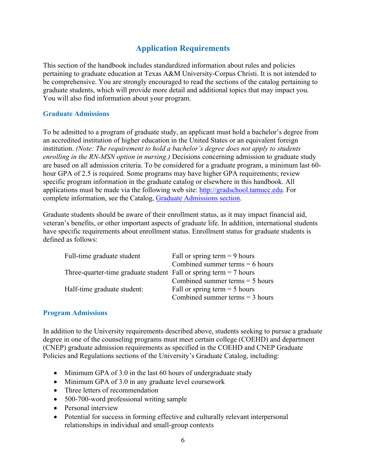# **Application Requirements**

This section of the handbook includes standardized information about rules and policies pertaining to graduate education at Texas A&M University-Corpus Christi. It is not intended to be comprehensive. You are strongly encouraged to read the sections of the catalog pertaining to graduate students, which will provide more detail and additional topics that may impact you. You will also find information about your program.

### **Graduate Admissions**

To be admitted to a program of graduate study, an applicant must hold a bachelor's degree from an accredited institution of higher education in the United States or an equivalent foreign institution. *(Note: The requirement to hold a bachelor's degree does not apply to students enrolling in the RN-MSN option in nursing.)* Decisions concerning admission to graduate study are based on all admission criteria. To be considered for a graduate program, a minimum last 60 hour GPA of 2.5 is required. Some programs may have higher GPA requirements; review specific program information in the graduate catalog or elsewhere in this handbook. All applications must be made via the following web site: http://gradschool.tamucc.edu. For complete information, see the Catalog, Graduate Admissions section.

Graduate students should be aware of their enrollment status, as it may impact financial aid, veteran's benefits, or other important aspects of graduate life. In addition, international students have specific requirements about enrollment status. Enrollment status for graduate students is defined as follows:

| Full-time graduate student                                          | Fall or spring term $= 9$ hours   |
|---------------------------------------------------------------------|-----------------------------------|
|                                                                     | Combined summer terms $= 6$ hours |
| Three-quarter-time graduate student Fall or spring term $= 7$ hours |                                   |
|                                                                     | Combined summer terms $=$ 5 hours |
| Half-time graduate student:                                         | Fall or spring term $=$ 5 hours   |
|                                                                     | Combined summer terms $=$ 3 hours |
|                                                                     |                                   |

### **Program Admissions**

In addition to the University requirements described above, students seeking to pursue a graduate degree in one of the counseling programs must meet certain college (COEHD) and department (CNEP) graduate admission requirements as specified in the COEHD and CNEP Graduate Policies and Regulations sections of the University's Graduate Catalog, including:

- Minimum GPA of 3.0 in the last 60 hours of undergraduate study
- Minimum GPA of 3.0 in any graduate level coursework
- Three letters of recommendation
- 500-700-word professional writing sample
- Personal interview
- Potential for success in forming effective and culturally relevant interpersonal relationships in individual and small-group contexts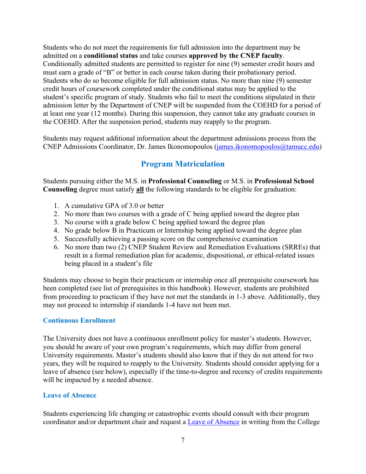Students who do not meet the requirements for full admission into the department may be admitted on a **conditional status** and take courses **approved by the CNEP faculty**. Conditionally admitted students are permitted to register for nine (9) semester credit hours and must earn a grade of "B" or better in each course taken during their probationary period. Students who do so become eligible for full admission status. No more than nine (9) semester credit hours of coursework completed under the conditional status may be applied to the student's specific program of study. Students who fail to meet the conditions stipulated in their admission letter by the Department of CNEP will be suspended from the COEHD for a period of at least one year (12 months). During this suspension, they cannot take any graduate courses in the COEHD. After the suspension period, students may reapply to the program.

Students may request additional information about the department admissions process from the CNEP Admissions Coordinator, Dr. James Ikonomopoulos (james.ikonomopoulos@tamucc.edu)

# **Program Matriculation**

Students pursuing either the M.S. in **Professional Counseling** or M.S. in **Professional School Counseling** degree must satisfy **all** the following standards to be eligible for graduation:

- 1. A cumulative GPA of 3.0 or better
- 2. No more than two courses with a grade of C being applied toward the degree plan
- 3. No course with a grade below C being applied toward the degree plan
- 4. No grade below B in Practicum or Internship being applied toward the degree plan
- 5. Successfully achieving a passing score on the comprehensive examination
- 6. No more than two (2) CNEP Student Review and Remediation Evaluations (SRREs) that result in a formal remediation plan for academic, dispositional, or ethical-related issues being placed in a student's file

Students may choose to begin their practicum or internship once all prerequisite coursework has been completed (see list of prerequisites in this handbook). However, students are prohibited from proceeding to practicum if they have not met the standards in 1-3 above. Additionally, they may not proceed to internship if standards 1-4 have not been met.

# **Continuous Enrollment**

The University does not have a continuous enrollment policy for master's students. However, you should be aware of your own program's requirements, which may differ from general University requirements. Master's students should also know that if they do not attend for two years, they will be required to reapply to the University. Students should consider applying for a leave of absence (see below), especially if the time-to-degree and recency of credits requirements will be impacted by a needed absence.

### **Leave of Absence**

Students experiencing life changing or catastrophic events should consult with their program coordinator and/or department chair and request a Leave of Absence in writing from the College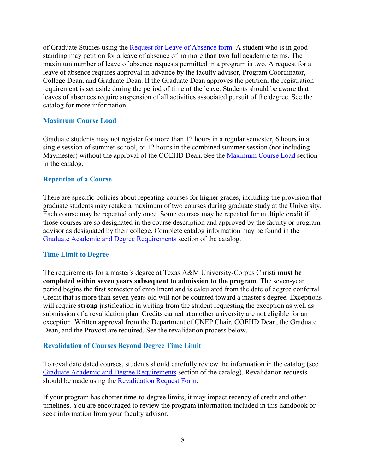of Graduate Studies using the Request for Leave of Absence form. A student who is in good standing may petition for a leave of absence of no more than two full academic terms. The maximum number of leave of absence requests permitted in a program is two. A request for a leave of absence requires approval in advance by the faculty advisor, Program Coordinator, College Dean, and Graduate Dean. If the Graduate Dean approves the petition, the registration requirement is set aside during the period of time of the leave. Students should be aware that leaves of absences require suspension of all activities associated pursuit of the degree. See the catalog for more information.

### **Maximum Course Load**

Graduate students may not register for more than 12 hours in a regular semester, 6 hours in a single session of summer school, or 12 hours in the combined summer session (not including Maymester) without the approval of the COEHD Dean. See the Maximum Course Load section in the catalog.

### **Repetition of a Course**

There are specific policies about repeating courses for higher grades, including the provision that graduate students may retake a maximum of two courses during graduate study at the University. Each course may be repeated only once. Some courses may be repeated for multiple credit if those courses are so designated in the course description and approved by the faculty or program advisor as designated by their college. Complete catalog information may be found in the Graduate Academic and Degree Requirements section of the catalog.

### **Time Limit to Degree**

The requirements for a master's degree at Texas A&M University-Corpus Christi **must be completed within seven years subsequent to admission to the program**. The seven-year period begins the first semester of enrollment and is calculated from the date of degree conferral. Credit that is more than seven years old will not be counted toward a master's degree. Exceptions will require **strong** justification in writing from the student requesting the exception as well as submission of a revalidation plan. Credits earned at another university are not eligible for an exception. Written approval from the Department of CNEP Chair, COEHD Dean, the Graduate Dean, and the Provost are required. See the revalidation process below.

# **Revalidation of Courses Beyond Degree Time Limit**

To revalidate dated courses, students should carefully review the information in the catalog (see Graduate Academic and Degree Requirements section of the catalog). Revalidation requests should be made using the Revalidation Request Form.

If your program has shorter time-to-degree limits, it may impact recency of credit and other timelines. You are encouraged to review the program information included in this handbook or seek information from your faculty advisor.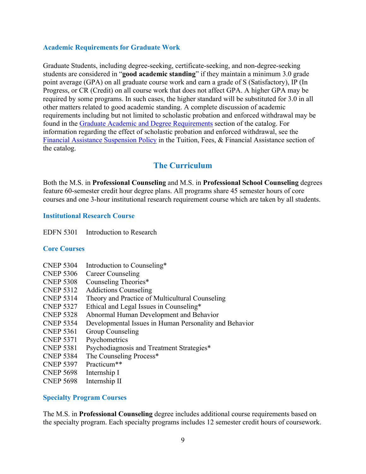### **Academic Requirements for Graduate Work**

Graduate Students, including degree-seeking, certificate-seeking, and non-degree-seeking students are considered in "**good academic standing**" if they maintain a minimum 3.0 grade point average (GPA) on all graduate course work and earn a grade of S (Satisfactory), IP (In Progress, or CR (Credit) on all course work that does not affect GPA. A higher GPA may be required by some programs. In such cases, the higher standard will be substituted for 3.0 in all other matters related to good academic standing. A complete discussion of academic requirements including but not limited to scholastic probation and enforced withdrawal may be found in the Graduate Academic and Degree Requirements section of the catalog. For information regarding the effect of scholastic probation and enforced withdrawal, see the Financial Assistance Suspension Policy in the Tuition, Fees, & Financial Assistance section of the catalog.

# **The Curriculum**

Both the M.S. in **Professional Counseling** and M.S. in **Professional School Counseling** degrees feature 60-semester credit hour degree plans. All programs share 45 semester hours of core courses and one 3-hour institutional research requirement course which are taken by all students.

### **Institutional Research Course**

EDFN 5301 Introduction to Research

### **Core Courses**

- CNEP 5304 Introduction to Counseling\*
- CNEP 5306 Career Counseling
- CNEP 5308 Counseling Theories\*
- CNEP 5312 Addictions Counseling
- CNEP 5314 Theory and Practice of Multicultural Counseling
- CNEP 5327 Ethical and Legal Issues in Counseling\*
- CNEP 5328 Abnormal Human Development and Behavior
- CNEP 5354 Developmental Issues in Human Personality and Behavior
- CNEP 5361 Group Counseling
- CNEP 5371 Psychometrics
- CNEP 5381 Psychodiagnosis and Treatment Strategies\*
- CNEP 5384 The Counseling Process\*
- CNEP 5397 Practicum\*\*
- CNEP 5698 Internship I
- CNEP 5698 Internship II

### **Specialty Program Courses**

The M.S. in **Professional Counseling** degree includes additional course requirements based on the specialty program. Each specialty programs includes 12 semester credit hours of coursework.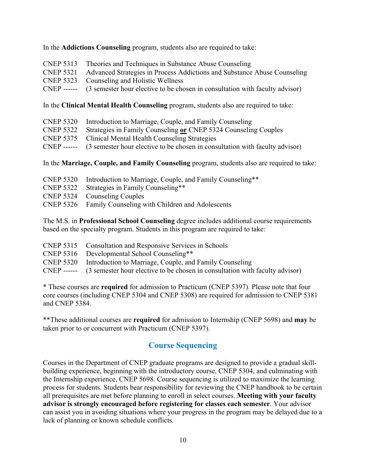### In the **Addictions Counseling** program, students also are required to take:

- CNEP 5313 Theories and Techniques in Substance Abuse Counseling
- CNEP 5321 Advanced Strategies in Process Addictions and Substance Abuse Counseling
- CNEP 5323 Counseling and Holistic Wellness
- CNEP ------(3 semester hour elective to be chosen in consultation with faculty advisor)

In the **Clinical Mental Health Counseling** program, students also are required to take:

- CNEP 5320 Introduction to Marriage, Couple, and Family Counseling
- CNEP 5322 Strategies in Family Counseling **or** CNEP 5324 Counseling Couples
- CNEP 5375 Clinical Mental Health Counseling Strategies
- CNEP ------(3 semester hour elective to be chosen in consultation with faculty advisor)

In the **Marriage, Couple, and Family Counseling** program, students also are required to take:

- CNEP 5320 Introduction to Marriage, Couple, and Family Counseling\*\*
- CNEP 5322 Strategies in Family Counseling\*\*
- CNEP 5324 Counseling Couples
- CNEP 5326 Family Counseling with Children and Adolescents

The M.S. in **Professional School Counseling** degree includes additional course requirements based on the specialty program. Students in this program are required to take:

- CNEP 5315 Consultation and Responsive Services in Schools
- CNEP 5316 Developmental School Counseling\*\*
- CNEP 5320 Introduction to Marriage, Couple, and Family Counseling
- CNEP ------(3 semester hour elective to be chosen in consultation with faculty advisor)

\* These courses are **required** for admission to Practicum (CNEP 5397). Please note that four core courses (including CNEP 5304 and CNEP 5308) are required for admission to CNEP 5381 and CNEP 5384.

\*\*These additional courses are **required** for admission to Internship (CNEP 5698) and **may** be taken prior to or concurrent with Practicum (CNEP 5397).

# **Course Sequencing**

Courses in the Department of CNEP graduate programs are designed to provide a gradual skillbuilding experience, beginning with the introductory course, CNEP 5304, and culminating with the Internship experience, CNEP 5698. Course sequencing is utilized to maximize the learning process for students. Students bear responsibility for reviewing the CNEP handbook to be certain all prerequisites are met before planning to enroll in select courses. **Meeting with your faculty advisor is strongly encouraged before registering for classes each semester**. Your advisor can assist you in avoiding situations where your progress in the program may be delayed due to a lack of planning or known schedule conflicts.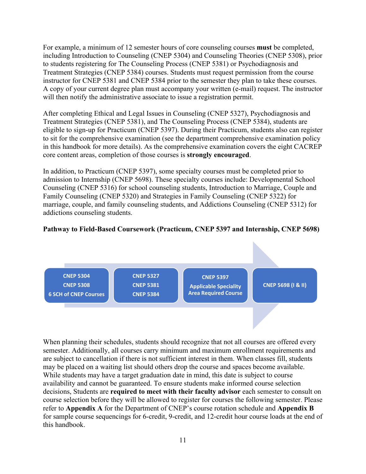For example, a minimum of 12 semester hours of core counseling courses **must** be completed, including Introduction to Counseling (CNEP 5304) and Counseling Theories (CNEP 5308), prior to students registering for The Counseling Process (CNEP 5381) or Psychodiagnosis and Treatment Strategies (CNEP 5384) courses. Students must request permission from the course instructor for CNEP 5381 and CNEP 5384 prior to the semester they plan to take these courses. A copy of your current degree plan must accompany your written (e-mail) request. The instructor will then notify the administrative associate to issue a registration permit.

After completing Ethical and Legal Issues in Counseling (CNEP 5327), Psychodiagnosis and Treatment Strategies (CNEP 5381), and The Counseling Process (CNEP 5384), students are eligible to sign-up for Practicum (CNEP 5397). During their Practicum, students also can register to sit for the comprehensive examination (see the department comprehensive examination policy in this handbook for more details). As the comprehensive examination covers the eight CACREP core content areas, completion of those courses is **strongly encouraged**.

In addition, to Practicum (CNEP 5397), some specialty courses must be completed prior to admission to Internship (CNEP 5698). These specialty courses include: Developmental School Counseling (CNEP 5316) for school counseling students, Introduction to Marriage, Couple and Family Counseling (CNEP 5320) and Strategies in Family Counseling (CNEP 5322) for marriage, couple, and family counseling students, and Addictions Counseling (CNEP 5312) for addictions counseling students.

# **Pathway to Field-Based Coursework (Practicum, CNEP 5397 and Internship, CNEP 5698)**



When planning their schedules, students should recognize that not all courses are offered every semester. Additionally, all courses carry minimum and maximum enrollment requirements and are subject to cancellation if there is not sufficient interest in them. When classes fill, students may be placed on a waiting list should others drop the course and spaces become available. While students may have a target graduation date in mind, this date is subject to course availability and cannot be guaranteed. To ensure students make informed course selection decisions, Students are **required to meet with their faculty advisor** each semester to consult on course selection before they will be allowed to register for courses the following semester. Please refer to **Appendix A** for the Department of CNEP's course rotation schedule and **Appendix B** for sample course sequencings for 6-credit, 9-credit, and 12-credit hour course loads at the end of this handbook.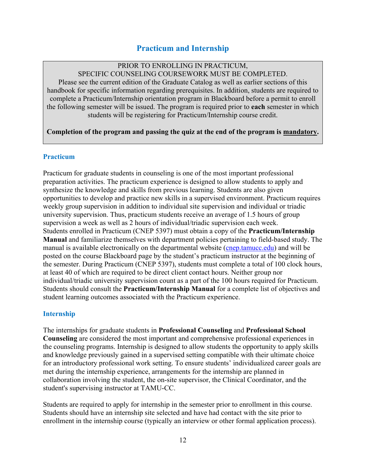# **Practicum and Internship**

# PRIOR TO ENROLLING IN PRACTICUM,

SPECIFIC COUNSELING COURSEWORK MUST BE COMPLETED.

Please see the current edition of the Graduate Catalog as well as earlier sections of this handbook for specific information regarding prerequisites. In addition, students are required to complete a Practicum/Internship orientation program in Blackboard before a permit to enroll the following semester will be issued. The program is required prior to **each** semester in which students will be registering for Practicum/Internship course credit.

**Completion of the program and passing the quiz at the end of the program is mandatory.** 

### **Practicum**

Practicum for graduate students in counseling is one of the most important professional preparation activities. The practicum experience is designed to allow students to apply and synthesize the knowledge and skills from previous learning. Students are also given opportunities to develop and practice new skills in a supervised environment. Practicum requires weekly group supervision in addition to individual site supervision and individual or triadic university supervision. Thus, practicum students receive an average of 1.5 hours of group supervision a week as well as 2 hours of individual/triadic supervision each week. Students enrolled in Practicum (CNEP 5397) must obtain a copy of the **Practicum/Internship Manual** and familiarize themselves with department policies pertaining to field-based study. The manual is available electronically on the departmental website (cnep.tamucc.edu) and will be posted on the course Blackboard page by the student's practicum instructor at the beginning of the semester. During Practicum (CNEP 5397), students must complete a total of 100 clock hours, at least 40 of which are required to be direct client contact hours. Neither group nor individual/triadic university supervision count as a part of the 100 hours required for Practicum. Students should consult the **Practicum/Internship Manual** for a complete list of objectives and student learning outcomes associated with the Practicum experience.

# **Internship**

The internships for graduate students in **Professional Counseling** and **Professional School Counseling** are considered the most important and comprehensive professional experiences in the counseling programs. Internship is designed to allow students the opportunity to apply skills and knowledge previously gained in a supervised setting compatible with their ultimate choice for an introductory professional work setting. To ensure students' individualized career goals are met during the internship experience, arrangements for the internship are planned in collaboration involving the student, the on-site supervisor, the Clinical Coordinator, and the student's supervising instructor at TAMU-CC.

Students are required to apply for internship in the semester prior to enrollment in this course. Students should have an internship site selected and have had contact with the site prior to enrollment in the internship course (typically an interview or other formal application process).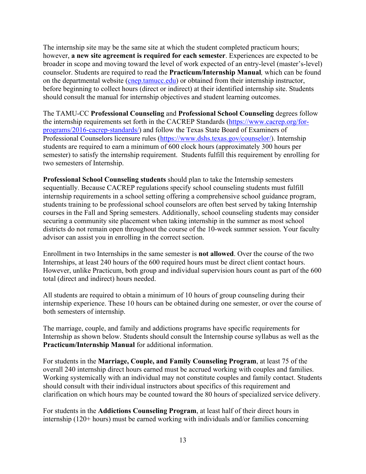The internship site may be the same site at which the student completed practicum hours; however, **a new site agreement is required for each semester**. Experiences are expected to be broader in scope and moving toward the level of work expected of an entry-level (master's-level) counselor. Students are required to read the **Practicum/Internship Manual***,* which can be found on the departmental website (cnep.tamucc.edu) or obtained from their internship instructor, before beginning to collect hours (direct or indirect) at their identified internship site. Students should consult the manual for internship objectives and student learning outcomes.

The TAMU-CC **Professional Counseling** and **Professional School Counseling** degrees follow the internship requirements set forth in the CACREP Standards (https://www.cacrep.org/forprograms/2016-cacrep-standards/) and follow the Texas State Board of Examiners of Professional Counselors licensure rules (https://www.dshs.texas.gov/counselor/). Internship students are required to earn a minimum of 600 clock hours (approximately 300 hours per semester) to satisfy the internship requirement. Students fulfill this requirement by enrolling for two semesters of Internship.

**Professional School Counseling students** should plan to take the Internship semesters sequentially. Because CACREP regulations specify school counseling students must fulfill internship requirements in a school setting offering a comprehensive school guidance program, students training to be professional school counselors are often best served by taking Internship courses in the Fall and Spring semesters. Additionally, school counseling students may consider securing a community site placement when taking internship in the summer as most school districts do not remain open throughout the course of the 10-week summer session. Your faculty advisor can assist you in enrolling in the correct section.

Enrollment in two Internships in the same semester is **not allowed**. Over the course of the two Internships, at least 240 hours of the 600 required hours must be direct client contact hours. However, unlike Practicum, both group and individual supervision hours count as part of the 600 total (direct and indirect) hours needed.

All students are required to obtain a minimum of 10 hours of group counseling during their internship experience. These 10 hours can be obtained during one semester, or over the course of both semesters of internship.

The marriage, couple, and family and addictions programs have specific requirements for Internship as shown below. Students should consult the Internship course syllabus as well as the **Practicum/Internship Manual** for additional information.

For students in the **Marriage, Couple, and Family Counseling Program**, at least 75 of the overall 240 internship direct hours earned must be accrued working with couples and families. Working systemically with an individual may not constitute couples and family contact. Students should consult with their individual instructors about specifics of this requirement and clarification on which hours may be counted toward the 80 hours of specialized service delivery.

For students in the **Addictions Counseling Program**, at least half of their direct hours in internship (120+ hours) must be earned working with individuals and/or families concerning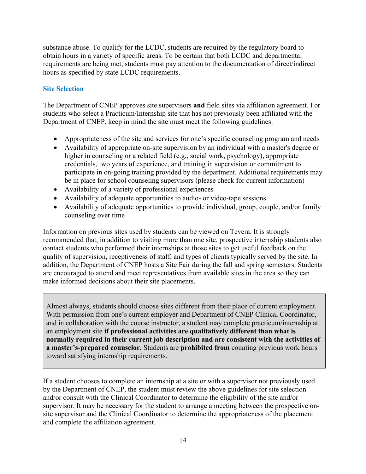substance abuse. To qualify for the LCDC, students are required by the regulatory board to obtain hours in a variety of specific areas. To be certain that both LCDC and departmental requirements are being met, students must pay attention to the documentation of direct/indirect hours as specified by state LCDC requirements.

# **Site Selection**

The Department of CNEP approves site supervisors **and** field sites via affiliation agreement. For students who select a Practicum/Internship site that has not previously been affiliated with the Department of CNEP, keep in mind the site must meet the following guidelines:

- Appropriateness of the site and services for one's specific counseling program and needs
- Availability of appropriate on-site supervision by an individual with a master's degree or higher in counseling or a related field (e.g., social work, psychology), appropriate credentials, two years of experience, and training in supervision or commitment to participate in on-going training provided by the department. Additional requirements may be in place for school counseling supervisors (please check for current information)
- Availability of a variety of professional experiences
- Availability of adequate opportunities to audio- or video-tape sessions
- Availability of adequate opportunities to provide individual, group, couple, and/or family counseling over time

Information on previous sites used by students can be viewed on Tevera. It is strongly recommended that, in addition to visiting more than one site, prospective internship students also contact students who performed their internships at those sites to get useful feedback on the quality of supervision, receptiveness of staff, and types of clients typically served by the site. In addition, the Department of CNEP hosts a Site Fair during the fall and spring semesters. Students are encouraged to attend and meet representatives from available sites in the area so they can make informed decisions about their site placements.

Almost always, students should choose sites different from their place of current employment. With permission from one's current employer and Department of CNEP Clinical Coordinator, and in collaboration with the course instructor, a student may complete practicum/internship at an employment site **if professional activities are qualitatively different than what is normally required in their current job description and are consistent with the activities of a master's-prepared counselor.** Students are **prohibited from** counting previous work hours toward satisfying internship requirements.

If a student chooses to complete an internship at a site or with a supervisor not previously used by the Department of CNEP, the student must review the above guidelines for site selection and/or consult with the Clinical Coordinator to determine the eligibility of the site and/or supervisor. It may be necessary for the student to arrange a meeting between the prospective onsite supervisor and the Clinical Coordinator to determine the appropriateness of the placement and complete the affiliation agreement.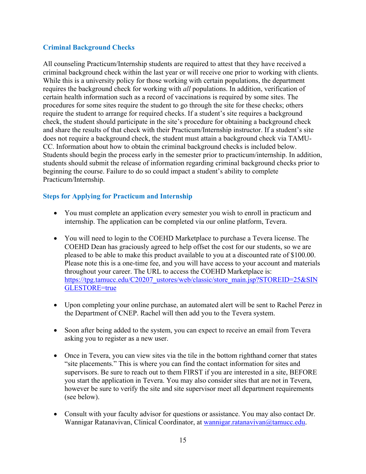### **Criminal Background Checks**

All counseling Practicum/Internship students are required to attest that they have received a criminal background check within the last year or will receive one prior to working with clients. While this is a university policy for those working with certain populations, the department requires the background check for working with *all* populations. In addition, verification of certain health information such as a record of vaccinations is required by some sites. The procedures for some sites require the student to go through the site for these checks; others require the student to arrange for required checks. If a student's site requires a background check, the student should participate in the site's procedure for obtaining a background check and share the results of that check with their Practicum/Internship instructor. If a student's site does not require a background check, the student must attain a background check via TAMU-CC. Information about how to obtain the criminal background checks is included below. Students should begin the process early in the semester prior to practicum/internship. In addition, students should submit the release of information regarding criminal background checks prior to beginning the course. Failure to do so could impact a student's ability to complete Practicum/Internship.

# **Steps for Applying for Practicum and Internship**

- You must complete an application every semester you wish to enroll in practicum and internship. The application can be completed via our online platform, Tevera.
- You will need to login to the COEHD Marketplace to purchase a Tevera license. The COEHD Dean has graciously agreed to help offset the cost for our students, so we are pleased to be able to make this product available to you at a discounted rate of \$100.00. Please note this is a one-time fee, and you will have access to your account and materials throughout your career. The URL to access the COEHD Marketplace is: https://tpg.tamucc.edu/C20207\_ustores/web/classic/store\_main.jsp?STOREID=25&SIN GLESTORE=true
- Upon completing your online purchase, an automated alert will be sent to Rachel Perez in the Department of CNEP. Rachel will then add you to the Tevera system.
- Soon after being added to the system, you can expect to receive an email from Tevera asking you to register as a new user.
- Once in Tevera, you can view sites via the tile in the bottom righthand corner that states "site placements." This is where you can find the contact information for sites and supervisors. Be sure to reach out to them FIRST if you are interested in a site, BEFORE you start the application in Tevera. You may also consider sites that are not in Tevera, however be sure to verify the site and site supervisor meet all department requirements (see below).
- Consult with your faculty advisor for questions or assistance. You may also contact Dr. Wannigar Ratanavivan, Clinical Coordinator, at wannigar.ratanavivan@tamucc.edu.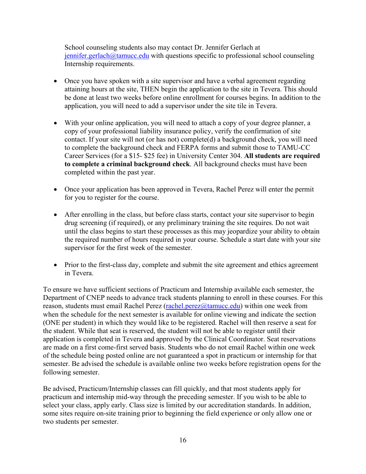School counseling students also may contact Dr. Jennifer Gerlach at  $j$ ennifer.gerlach $@$ tamucc.edu with questions specific to professional school counseling Internship requirements.

- Once you have spoken with a site supervisor and have a verbal agreement regarding attaining hours at the site, THEN begin the application to the site in Tevera. This should be done at least two weeks before online enrollment for courses begins. In addition to the application, you will need to add a supervisor under the site tile in Tevera.
- With your online application, you will need to attach a copy of your degree planner, a copy of your professional liability insurance policy, verify the confirmation of site contact. If your site will not (or has not) complete(d) a background check, you will need to complete the background check and FERPA forms and submit those to TAMU-CC Career Services (for a \$15- \$25 fee) in University Center 304. **All students are required to complete a criminal background check**. All background checks must have been completed within the past year.
- Once your application has been approved in Tevera, Rachel Perez will enter the permit for you to register for the course.
- After enrolling in the class, but before class starts, contact your site supervisor to begin drug screening (if required), or any preliminary training the site requires. Do not wait until the class begins to start these processes as this may jeopardize your ability to obtain the required number of hours required in your course. Schedule a start date with your site supervisor for the first week of the semester.
- Prior to the first-class day, complete and submit the site agreement and ethics agreement in Tevera.

To ensure we have sufficient sections of Practicum and Internship available each semester, the Department of CNEP needs to advance track students planning to enroll in these courses. For this reason, students must email Rachel Perez (rachel.perez $(a)$ tamucc.edu) within one week from when the schedule for the next semester is available for online viewing and indicate the section (ONE per student) in which they would like to be registered. Rachel will then reserve a seat for the student. While that seat is reserved, the student will not be able to register until their application is completed in Tevera and approved by the Clinical Coordinator. Seat reservations are made on a first come-first served basis. Students who do not email Rachel within one week of the schedule being posted online are not guaranteed a spot in practicum or internship for that semester. Be advised the schedule is available online two weeks before registration opens for the following semester.

Be advised, Practicum/Internship classes can fill quickly, and that most students apply for practicum and internship mid-way through the preceding semester. If you wish to be able to select your class, apply early. Class size is limited by our accreditation standards. In addition, some sites require on-site training prior to beginning the field experience or only allow one or two students per semester.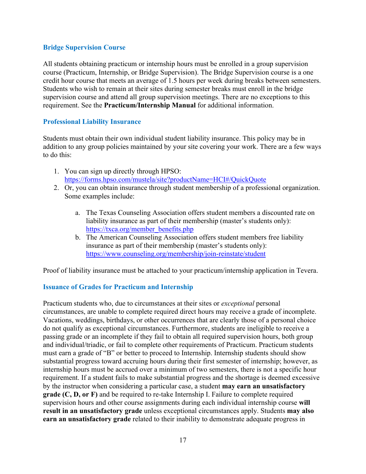### **Bridge Supervision Course**

All students obtaining practicum or internship hours must be enrolled in a group supervision course (Practicum, Internship, or Bridge Supervision). The Bridge Supervision course is a one credit hour course that meets an average of 1.5 hours per week during breaks between semesters. Students who wish to remain at their sites during semester breaks must enroll in the bridge supervision course and attend all group supervision meetings. There are no exceptions to this requirement. See the **Practicum/Internship Manual** for additional information.

### **Professional Liability Insurance**

Students must obtain their own individual student liability insurance. This policy may be in addition to any group policies maintained by your site covering your work. There are a few ways to do this:

- 1. You can sign up directly through HPSO: https://forms.hpso.com/mustela/site?productName=HCI#/QuickQuote
- 2. Or, you can obtain insurance through student membership of a professional organization. Some examples include:
	- a. The Texas Counseling Association offers student members a discounted rate on liability insurance as part of their membership (master's students only): https://txca.org/member\_benefits.php
	- b. The American Counseling Association offers student members free liability insurance as part of their membership (master's students only): https://www.counseling.org/membership/join-reinstate/student

Proof of liability insurance must be attached to your practicum/internship application in Tevera.

# **Issuance of Grades for Practicum and Internship**

Practicum students who, due to circumstances at their sites or *exceptional* personal circumstances, are unable to complete required direct hours may receive a grade of incomplete. Vacations, weddings, birthdays, or other occurrences that are clearly those of a personal choice do not qualify as exceptional circumstances. Furthermore, students are ineligible to receive a passing grade or an incomplete if they fail to obtain all required supervision hours, both group and individual/triadic, or fail to complete other requirements of Practicum. Practicum students must earn a grade of "B" or better to proceed to Internship. Internship students should show substantial progress toward accruing hours during their first semester of internship; however, as internship hours must be accrued over a minimum of two semesters, there is not a specific hour requirement. If a student fails to make substantial progress and the shortage is deemed excessive by the instructor when considering a particular case, a student **may earn an unsatisfactory grade (C, D, or F)** and be required to re-take Internship I. Failure to complete required supervision hours and other course assignments during each individual internship course **will result in an unsatisfactory grade** unless exceptional circumstances apply. Students **may also earn an unsatisfactory grade** related to their inability to demonstrate adequate progress in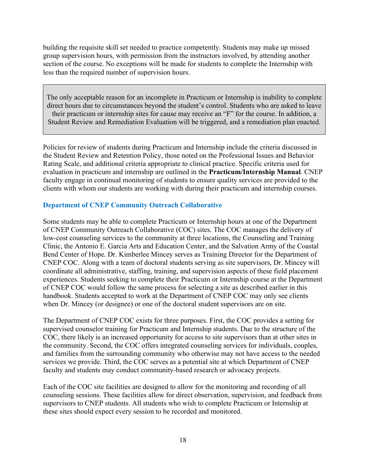building the requisite skill set needed to practice competently. Students may make up missed group supervision hours, with permission from the instructors involved, by attending another section of the course. No exceptions will be made for students to complete the Internship with less than the required number of supervision hours.

The only acceptable reason for an incomplete in Practicum or Internship is inability to complete direct hours due to circumstances beyond the student's control. Students who are asked to leave their practicum or internship sites for cause may receive an "F" for the course. In addition, a Student Review and Remediation Evaluation will be triggered, and a remediation plan enacted.

Policies for review of students during Practicum and Internship include the criteria discussed in the Student Review and Retention Policy, those noted on the Professional Issues and Behavior Rating Scale, and additional criteria appropriate to clinical practice. Specific criteria used for evaluation in practicum and internship are outlined in the **Practicum/Internship Manual***.* CNEP faculty engage in continual monitoring of students to ensure quality services are provided to the clients with whom our students are working with during their practicum and internship courses.

### **Department of CNEP Community Outreach Collaborative**

Some students may be able to complete Practicum or Internship hours at one of the Department of CNEP Community Outreach Collaborative (COC) sites. The COC manages the delivery of low-cost counseling services to the community at three locations, the Counseling and Training Clinic, the Antonio E. Garcia Arts and Education Center, and the Salvation Army of the Coastal Bend Center of Hope. Dr. Kimberlee Mincey serves as Training Director for the Department of CNEP COC. Along with a team of doctoral students serving as site supervisors, Dr. Mincey will coordinate all administrative, staffing, training, and supervision aspects of these field placement experiences. Students seeking to complete their Practicum or Internship course at the Department of CNEP COC would follow the same process for selecting a site as described earlier in this handbook. Students accepted to work at the Department of CNEP COC may only see clients when Dr. Mincey (or designee) or one of the doctoral student supervisors are on site.

The Department of CNEP COC exists for three purposes. First, the COC provides a setting for supervised counselor training for Practicum and Internship students. Due to the structure of the COC, there likely is an increased opportunity for access to site supervisors than at other sites in the community. Second, the COC offers integrated counseling services for individuals, couples, and families from the surrounding community who otherwise may not have access to the needed services we provide. Third, the COC serves as a potential site at which Department of CNEP faculty and students may conduct community-based research or advocacy projects.

Each of the COC site facilities are designed to allow for the monitoring and recording of all counseling sessions. These facilities allow for direct observation, supervision, and feedback from supervisors to CNEP students. All students who wish to complete Practicum or Internship at these sites should expect every session to be recorded and monitored.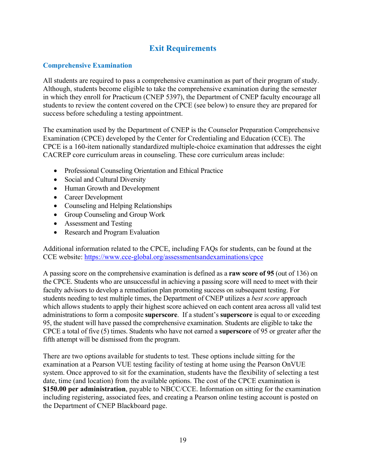# **Exit Requirements**

# **Comprehensive Examination**

All students are required to pass a comprehensive examination as part of their program of study. Although, students become eligible to take the comprehensive examination during the semester in which they enroll for Practicum (CNEP 5397), the Department of CNEP faculty encourage all students to review the content covered on the CPCE (see below) to ensure they are prepared for success before scheduling a testing appointment.

The examination used by the Department of CNEP is the Counselor Preparation Comprehensive Examination (CPCE) developed by the Center for Credentialing and Education (CCE). The CPCE is a 160-item nationally standardized multiple-choice examination that addresses the eight CACREP core curriculum areas in counseling. These core curriculum areas include:

- Professional Counseling Orientation and Ethical Practice
- Social and Cultural Diversity
- Human Growth and Development
- Career Development
- Counseling and Helping Relationships
- Group Counseling and Group Work
- Assessment and Testing
- Research and Program Evaluation

Additional information related to the CPCE, including FAQs for students, can be found at the CCE website: https://www.cce-global.org/assessmentsandexaminations/cpce

A passing score on the comprehensive examination is defined as a **raw score of 95** (out of 136) on the CPCE. Students who are unsuccessful in achieving a passing score will need to meet with their faculty advisors to develop a remediation plan promoting success on subsequent testing. For students needing to test multiple times, the Department of CNEP utilizes a *best score* approach which allows students to apply their highest score achieved on each content area across all valid test administrations to form a composite **superscore**. If a student's **superscore** is equal to or exceeding 95, the student will have passed the comprehensive examination. Students are eligible to take the CPCE a total of five (5) times. Students who have not earned a **superscore** of 95 or greater after the fifth attempt will be dismissed from the program.

There are two options available for students to test. These options include sitting for the examination at a Pearson VUE testing facility of testing at home using the Pearson OnVUE system. Once approved to sit for the examination, students have the flexibility of selecting a test date, time (and location) from the available options. The cost of the CPCE examination is **\$150.00 per administration**, payable to NBCC/CCE. Information on sitting for the examination including registering, associated fees, and creating a Pearson online testing account is posted on the Department of CNEP Blackboard page.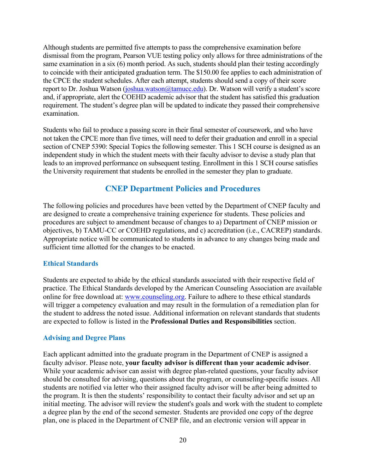Although students are permitted five attempts to pass the comprehensive examination before dismissal from the program, Pearson VUE testing policy only allows for three administrations of the same examination in a six (6) month period. As such, students should plan their testing accordingly to coincide with their anticipated graduation term. The \$150.00 fee applies to each administration of the CPCE the student schedules. After each attempt, students should send a copy of their score report to Dr. Joshua Watson (joshua.watson@tamucc.edu). Dr. Watson will verify a student's score and, if appropriate, alert the COEHD academic advisor that the student has satisfied this graduation requirement. The student's degree plan will be updated to indicate they passed their comprehensive examination.

Students who fail to produce a passing score in their final semester of coursework, and who have not taken the CPCE more than five times, will need to defer their graduation and enroll in a special section of CNEP 5390: Special Topics the following semester. This 1 SCH course is designed as an independent study in which the student meets with their faculty advisor to devise a study plan that leads to an improved performance on subsequent testing. Enrollment in this 1 SCH course satisfies the University requirement that students be enrolled in the semester they plan to graduate.

# **CNEP Department Policies and Procedures**

The following policies and procedures have been vetted by the Department of CNEP faculty and are designed to create a comprehensive training experience for students. These policies and procedures are subject to amendment because of changes to a) Department of CNEP mission or objectives, b) TAMU-CC or COEHD regulations, and c) accreditation (i.e., CACREP) standards. Appropriate notice will be communicated to students in advance to any changes being made and sufficient time allotted for the changes to be enacted.

### **Ethical Standards**

Students are expected to abide by the ethical standards associated with their respective field of practice. The Ethical Standards developed by the American Counseling Association are available online for free download at: www.counseling.org. Failure to adhere to these ethical standards will trigger a competency evaluation and may result in the formulation of a remediation plan for the student to address the noted issue. Additional information on relevant standards that students are expected to follow is listed in the **Professional Duties and Responsibilities** section.

### **Advising and Degree Plans**

Each applicant admitted into the graduate program in the Department of CNEP is assigned a faculty advisor. Please note, **your faculty advisor is different than your academic advisor**. While your academic advisor can assist with degree plan-related questions, your faculty advisor should be consulted for advising, questions about the program, or counseling-specific issues. All students are notified via letter who their assigned faculty advisor will be after being admitted to the program. It is then the students' responsibility to contact their faculty advisor and set up an initial meeting. The advisor will review the student's goals and work with the student to complete a degree plan by the end of the second semester. Students are provided one copy of the degree plan, one is placed in the Department of CNEP file, and an electronic version will appear in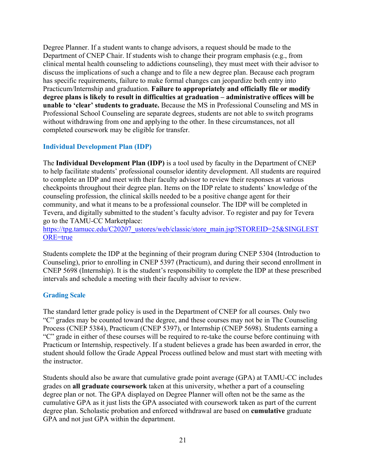Degree Planner. If a student wants to change advisors, a request should be made to the Department of CNEP Chair. If students wish to change their program emphasis (e.g., from clinical mental health counseling to addictions counseling), they must meet with their advisor to discuss the implications of such a change and to file a new degree plan. Because each program has specific requirements, failure to make formal changes can jeopardize both entry into Practicum/Internship and graduation. **Failure to appropriately and officially file or modify degree plans is likely to result in difficulties at graduation – administrative offices will be unable to 'clear' students to graduate.** Because the MS in Professional Counseling and MS in Professional School Counseling are separate degrees, students are not able to switch programs without withdrawing from one and applying to the other. In these circumstances, not all completed coursework may be eligible for transfer.

### **Individual Development Plan (IDP)**

The **Individual Development Plan (IDP)** is a tool used by faculty in the Department of CNEP to help facilitate students' professional counselor identity development. All students are required to complete an IDP and meet with their faculty advisor to review their responses at various checkpoints throughout their degree plan. Items on the IDP relate to students' knowledge of the counseling profession, the clinical skills needed to be a positive change agent for their community, and what it means to be a professional counselor. The IDP will be completed in Tevera, and digitally submitted to the student's faculty advisor. To register and pay for Tevera go to the TAMU-CC Marketplace:

https://tpg.tamucc.edu/C20207\_ustores/web/classic/store\_main.jsp?STOREID=25&SINGLEST ORE=true

Students complete the IDP at the beginning of their program during CNEP 5304 (Introduction to Counseling), prior to enrolling in CNEP 5397 (Practicum), and during their second enrollment in CNEP 5698 (Internship). It is the student's responsibility to complete the IDP at these prescribed intervals and schedule a meeting with their faculty advisor to review.

### **Grading Scale**

The standard letter grade policy is used in the Department of CNEP for all courses. Only two "C" grades may be counted toward the degree, and these courses may not be in The Counseling Process (CNEP 5384), Practicum (CNEP 5397), or Internship (CNEP 5698). Students earning a "C" grade in either of these courses will be required to re-take the course before continuing with Practicum or Internship, respectively. If a student believes a grade has been awarded in error, the student should follow the Grade Appeal Process outlined below and must start with meeting with the instructor.

Students should also be aware that cumulative grade point average (GPA) at TAMU-CC includes grades on **all graduate coursework** taken at this university, whether a part of a counseling degree plan or not. The GPA displayed on Degree Planner will often not be the same as the cumulative GPA as it just lists the GPA associated with coursework taken as part of the current degree plan. Scholastic probation and enforced withdrawal are based on **cumulative** graduate GPA and not just GPA within the department.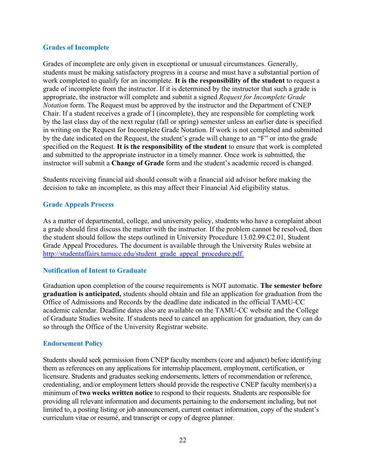### **Grades of Incomplete**

Grades of incomplete are only given in exceptional or unusual circumstances. Generally, students must be making satisfactory progress in a course and must have a substantial portion of work completed to qualify for an incomplete. **It is the responsibility of the student** to request a grade of incomplete from the instructor. If it is determined by the instructor that such a grade is appropriate, the instructor will complete and submit a signed *Request for Incomplete Grade Notation* form. The Request must be approved by the instructor and the Department of CNEP Chair. If a student receives a grade of I (incomplete), they are responsible for completing work by the last class day of the next regular (fall or spring) semester unless an earlier date is specified in writing on the Request for Incomplete Grade Notation. If work is not completed and submitted by the date indicated on the Request, the student's grade will change to an "F" or into the grade specified on the Request. **It is the responsibility of the student** to ensure that work is completed and submitted to the appropriate instructor in a timely manner. Once work is submitted, the instructor will submit a **Change of Grade** form and the student's academic record is changed.

Students receiving financial aid should consult with a financial aid advisor before making the decision to take an incomplete, as this may affect their Financial Aid eligibility status.

### **Grade Appeals Process**

As a matter of departmental, college, and university policy, students who have a complaint about a grade should first discuss the matter with the instructor. If the problem cannot be resolved, then the student should follow the steps outlined in University Procedure 13.02.99.C2.01, Student Grade Appeal Procedures. The document is available through the University Rules website at http://studentaffairs.tamucc.edu/student\_grade\_appeal\_procedure.pdf.

# **Notification of Intent to Graduate**

Graduation upon completion of the course requirements is NOT automatic. **The semester before graduation is anticipated,** students should obtain and file an application for graduation from the Office of Admissions and Records by the deadline date indicated in the official TAMU-CC academic calendar. Deadline dates also are available on the TAMU-CC website and the College of Graduate Studies website. If students need to cancel an application for graduation, they can do so through the Office of the University Registrar website.

### **Endorsement Policy**

Students should seek permission from CNEP faculty members (core and adjunct) before identifying them as references on any applications for internship placement, employment, certification, or licensure. Students and graduates seeking endorsements, letters of recommendation or reference, credentialing, and/or employment letters should provide the respective CNEP faculty member(s) a minimum of **two weeks written notice** to respond to their requests. Students are responsible for providing all relevant information and documents pertaining to the endorsement including, but not limited to, a posting listing or job announcement, current contact information, copy of the student's curriculum vitae or resumé, and transcript or copy of degree planner.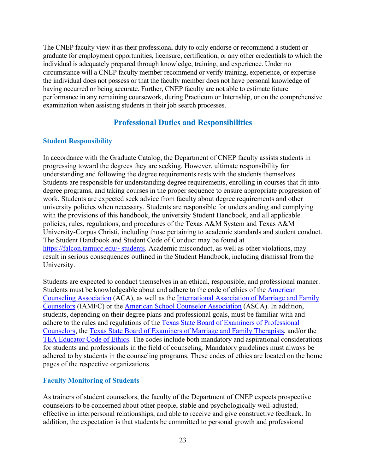The CNEP faculty view it as their professional duty to only endorse or recommend a student or graduate for employment opportunities, licensure, certification, or any other credentials to which the individual is adequately prepared through knowledge, training, and experience. Under no circumstance will a CNEP faculty member recommend or verify training, experience, or expertise the individual does not possess or that the faculty member does not have personal knowledge of having occurred or being accurate. Further, CNEP faculty are not able to estimate future performance in any remaining coursework, during Practicum or Internship, or on the comprehensive examination when assisting students in their job search processes.

# **Professional Duties and Responsibilities**

### **Student Responsibility**

In accordance with the Graduate Catalog, the Department of CNEP faculty assists students in progressing toward the degrees they are seeking. However, ultimate responsibility for understanding and following the degree requirements rests with the students themselves. Students are responsible for understanding degree requirements, enrolling in courses that fit into degree programs, and taking courses in the proper sequence to ensure appropriate progression of work. Students are expected seek advice from faculty about degree requirements and other university policies when necessary. Students are responsible for understanding and complying with the provisions of this handbook, the university Student Handbook, and all applicable policies, rules, regulations, and procedures of the Texas A&M System and Texas A&M University-Corpus Christi, including those pertaining to academic standards and student conduct. The Student Handbook and Student Code of Conduct may be found at https://falcon.tamucc.edu/~students. Academic misconduct, as well as other violations, may result in serious consequences outlined in the Student Handbook, including dismissal from the University.

Students are expected to conduct themselves in an ethical, responsible, and professional manner. Students must be knowledgeable about and adhere to the code of ethics of the American Counseling Association (ACA), as well as the International Association of Marriage and Family Counselors (IAMFC) or the American School Counselor Association (ASCA). In addition, students, depending on their degree plans and professional goals, must be familiar with and adhere to the rules and regulations of the Texas State Board of Examiners of Professional Counselors, the Texas State Board of Examiners of Marriage and Family Therapists, and/or the TEA Educator Code of Ethics. The codes include both mandatory and aspirational considerations for students and professionals in the field of counseling. Mandatory guidelines must always be adhered to by students in the counseling programs. These codes of ethics are located on the home pages of the respective organizations.

# **Faculty Monitoring of Students**

As trainers of student counselors, the faculty of the Department of CNEP expects prospective counselors to be concerned about other people, stable and psychologically well-adjusted, effective in interpersonal relationships, and able to receive and give constructive feedback. In addition, the expectation is that students be committed to personal growth and professional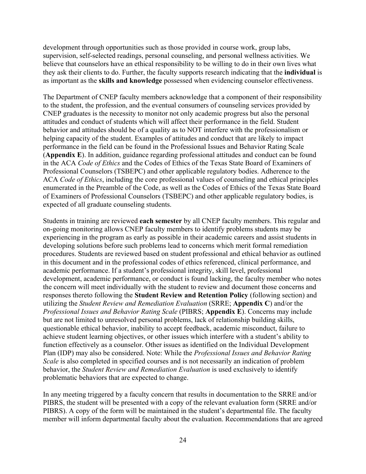development through opportunities such as those provided in course work, group labs, supervision, self-selected readings, personal counseling, and personal wellness activities. We believe that counselors have an ethical responsibility to be willing to do in their own lives what they ask their clients to do. Further, the faculty supports research indicating that the **individual** is as important as the **skills and knowledge** possessed when evidencing counselor effectiveness.

The Department of CNEP faculty members acknowledge that a component of their responsibility to the student, the profession, and the eventual consumers of counseling services provided by CNEP graduates is the necessity to monitor not only academic progress but also the personal attitudes and conduct of students which will affect their performance in the field. Student behavior and attitudes should be of a quality as to NOT interfere with the professionalism or helping capacity of the student. Examples of attitudes and conduct that are likely to impact performance in the field can be found in the Professional Issues and Behavior Rating Scale (**Appendix E**). In addition, guidance regarding professional attitudes and conduct can be found in the ACA *Code of Ethics* and the Codes of Ethics of the Texas State Board of Examiners of Professional Counselors (TSBEPC) and other applicable regulatory bodies. Adherence to the ACA *Code of Ethics*, including the core professional values of counseling and ethical principles enumerated in the Preamble of the Code, as well as the Codes of Ethics of the Texas State Board of Examiners of Professional Counselors (TSBEPC) and other applicable regulatory bodies, is expected of all graduate counseling students.

Students in training are reviewed **each semester** by all CNEP faculty members. This regular and on-going monitoring allows CNEP faculty members to identify problems students may be experiencing in the program as early as possible in their academic careers and assist students in developing solutions before such problems lead to concerns which merit formal remediation procedures. Students are reviewed based on student professional and ethical behavior as outlined in this document and in the professional codes of ethics referenced, clinical performance, and academic performance. If a student's professional integrity, skill level, professional development, academic performance, or conduct is found lacking, the faculty member who notes the concern will meet individually with the student to review and document those concerns and responses thereto following the **Student Review and Retention Policy** (following section) and utilizing the *Student Review and Remediation Evaluation* (SRRE; **Appendix C**) and/or the *Professional Issues and Behavior Rating Scale* (PIBRS; **Appendix E**). Concerns may include but are not limited to unresolved personal problems, lack of relationship building skills, questionable ethical behavior, inability to accept feedback, academic misconduct, failure to achieve student learning objectives, or other issues which interfere with a student's ability to function effectively as a counselor. Other issues as identified on the Individual Development Plan (IDP) may also be considered. Note: While the *Professional Issues and Behavior Rating Scale* is also completed in specified courses and is not necessarily an indication of problem behavior, the *Student Review and Remediation Evaluation* is used exclusively to identify problematic behaviors that are expected to change.

In any meeting triggered by a faculty concern that results in documentation to the SRRE and/or PIBRS, the student will be presented with a copy of the relevant evaluation form (SRRE and/or PIBRS). A copy of the form will be maintained in the student's departmental file. The faculty member will inform departmental faculty about the evaluation. Recommendations that are agreed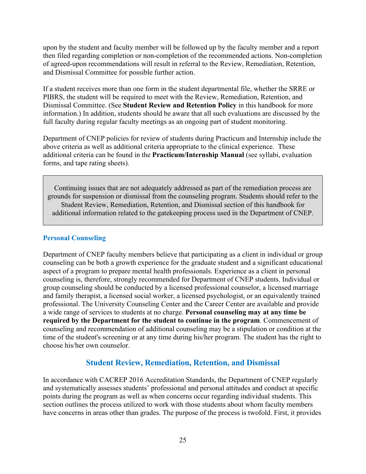upon by the student and faculty member will be followed up by the faculty member and a report then filed regarding completion or non-completion of the recommended actions. Non-completion of agreed-upon recommendations will result in referral to the Review, Remediation, Retention, and Dismissal Committee for possible further action.

If a student receives more than one form in the student departmental file, whether the SRRE or PIBRS, the student will be required to meet with the Review, Remediation, Retention, and Dismissal Committee. (See **Student Review and Retention Policy** in this handbook for more information.) In addition, students should be aware that all such evaluations are discussed by the full faculty during regular faculty meetings as an ongoing part of student monitoring.

Department of CNEP policies for review of students during Practicum and Internship include the above criteria as well as additional criteria appropriate to the clinical experience. These additional criteria can be found in the **Practicum/Internship Manual** (see syllabi, evaluation forms, and tape rating sheets)*.*

Continuing issues that are not adequately addressed as part of the remediation process are grounds for suspension or dismissal from the counseling program. Students should refer to the Student Review, Remediation, Retention, and Dismissal section of this handbook for additional information related to the gatekeeping process used in the Department of CNEP.

### **Personal Counseling**

Department of CNEP faculty members believe that participating as a client in individual or group counseling can be both a growth experience for the graduate student and a significant educational aspect of a program to prepare mental health professionals. Experience as a client in personal counseling is, therefore, strongly recommended for Department of CNEP students. Individual or group counseling should be conducted by a licensed professional counselor, a licensed marriage and family therapist, a licensed social worker, a licensed psychologist, or an equivalently trained professional. The University Counseling Center and the Career Center are available and provide a wide range of services to students at no charge. **Personal counseling may at any time be required by the Department for the student to continue in the program***.* Commencement of counseling and recommendation of additional counseling may be a stipulation or condition at the time of the student's screening or at any time during his/her program. The student has the right to choose his/her own counselor.

# **Student Review, Remediation, Retention, and Dismissal**

In accordance with CACREP 2016 Accreditation Standards, the Department of CNEP regularly and systematically assesses students' professional and personal attitudes and conduct at specific points during the program as well as when concerns occur regarding individual students. This section outlines the process utilized to work with those students about whom faculty members have concerns in areas other than grades. The purpose of the process is twofold. First, it provides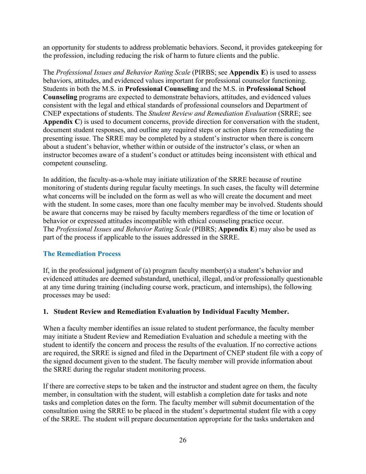an opportunity for students to address problematic behaviors. Second, it provides gatekeeping for the profession, including reducing the risk of harm to future clients and the public.

The *Professional Issues and Behavior Rating Scale* (PIRBS; see **Appendix E**) is used to assess behaviors, attitudes, and evidenced values important for professional counselor functioning. Students in both the M.S. in **Professional Counseling** and the M.S. in **Professional School Counseling** programs are expected to demonstrate behaviors, attitudes, and evidenced values consistent with the legal and ethical standards of professional counselors and Department of CNEP expectations of students. The *Student Review and Remediation Evaluation* (SRRE; see **Appendix C**) is used to document concerns, provide direction for conversation with the student, document student responses, and outline any required steps or action plans for remediating the presenting issue. The SRRE may be completed by a student's instructor when there is concern about a student's behavior, whether within or outside of the instructor's class, or when an instructor becomes aware of a student's conduct or attitudes being inconsistent with ethical and competent counseling.

In addition, the faculty-as-a-whole may initiate utilization of the SRRE because of routine monitoring of students during regular faculty meetings. In such cases, the faculty will determine what concerns will be included on the form as well as who will create the document and meet with the student. In some cases, more than one faculty member may be involved. Students should be aware that concerns may be raised by faculty members regardless of the time or location of behavior or expressed attitudes incompatible with ethical counseling practice occur. The *Professional Issues and Behavior Rating Scale* (PIBRS; **Appendix E**) may also be used as part of the process if applicable to the issues addressed in the SRRE.

# **The Remediation Process**

If, in the professional judgment of (a) program faculty member(s) a student's behavior and evidenced attitudes are deemed substandard, unethical, illegal, and/or professionally questionable at any time during training (including course work, practicum, and internships), the following processes may be used:

### **1. Student Review and Remediation Evaluation by Individual Faculty Member.**

When a faculty member identifies an issue related to student performance, the faculty member may initiate a Student Review and Remediation Evaluation and schedule a meeting with the student to identify the concern and process the results of the evaluation. If no corrective actions are required, the SRRE is signed and filed in the Department of CNEP student file with a copy of the signed document given to the student. The faculty member will provide information about the SRRE during the regular student monitoring process.

If there are corrective steps to be taken and the instructor and student agree on them, the faculty member, in consultation with the student, will establish a completion date for tasks and note tasks and completion dates on the form. The faculty member will submit documentation of the consultation using the SRRE to be placed in the student's departmental student file with a copy of the SRRE. The student will prepare documentation appropriate for the tasks undertaken and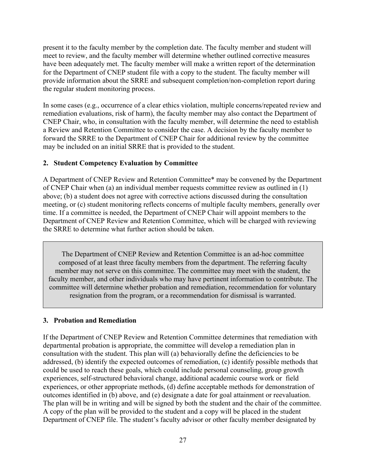present it to the faculty member by the completion date. The faculty member and student will meet to review, and the faculty member will determine whether outlined corrective measures have been adequately met. The faculty member will make a written report of the determination for the Department of CNEP student file with a copy to the student. The faculty member will provide information about the SRRE and subsequent completion/non-completion report during the regular student monitoring process.

In some cases (e.g., occurrence of a clear ethics violation, multiple concerns/repeated review and remediation evaluations, risk of harm), the faculty member may also contact the Department of CNEP Chair, who, in consultation with the faculty member, will determine the need to establish a Review and Retention Committee to consider the case. A decision by the faculty member to forward the SRRE to the Department of CNEP Chair for additional review by the committee may be included on an initial SRRE that is provided to the student.

### **2. Student Competency Evaluation by Committee**

A Department of CNEP Review and Retention Committee\* may be convened by the Department of CNEP Chair when (a) an individual member requests committee review as outlined in (1) above; (b) a student does not agree with corrective actions discussed during the consultation meeting, or (c) student monitoring reflects concerns of multiple faculty members, generally over time. If a committee is needed, the Department of CNEP Chair will appoint members to the Department of CNEP Review and Retention Committee, which will be charged with reviewing the SRRE to determine what further action should be taken.

The Department of CNEP Review and Retention Committee is an ad-hoc committee composed of at least three faculty members from the department. The referring faculty member may not serve on this committee. The committee may meet with the student, the faculty member, and other individuals who may have pertinent information to contribute. The committee will determine whether probation and remediation, recommendation for voluntary resignation from the program, or a recommendation for dismissal is warranted.

### **3. Probation and Remediation**

If the Department of CNEP Review and Retention Committee determines that remediation with departmental probation is appropriate, the committee will develop a remediation plan in consultation with the student. This plan will (a) behaviorally define the deficiencies to be addressed, (b) identify the expected outcomes of remediation, (c) identify possible methods that could be used to reach these goals, which could include personal counseling, group growth experiences, self-structured behavioral change, additional academic course work or field experiences, or other appropriate methods, (d) define acceptable methods for demonstration of outcomes identified in (b) above, and (e) designate a date for goal attainment or reevaluation. The plan will be in writing and will be signed by both the student and the chair of the committee. A copy of the plan will be provided to the student and a copy will be placed in the student Department of CNEP file. The student's faculty advisor or other faculty member designated by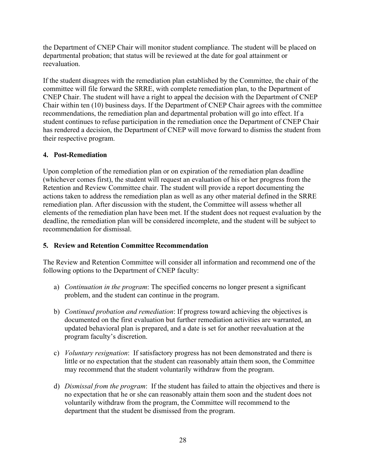the Department of CNEP Chair will monitor student compliance. The student will be placed on departmental probation; that status will be reviewed at the date for goal attainment or reevaluation.

If the student disagrees with the remediation plan established by the Committee, the chair of the committee will file forward the SRRE, with complete remediation plan, to the Department of CNEP Chair. The student will have a right to appeal the decision with the Department of CNEP Chair within ten (10) business days. If the Department of CNEP Chair agrees with the committee recommendations, the remediation plan and departmental probation will go into effect. If a student continues to refuse participation in the remediation once the Department of CNEP Chair has rendered a decision, the Department of CNEP will move forward to dismiss the student from their respective program.

# **4. Post-Remediation**

Upon completion of the remediation plan or on expiration of the remediation plan deadline (whichever comes first), the student will request an evaluation of his or her progress from the Retention and Review Committee chair. The student will provide a report documenting the actions taken to address the remediation plan as well as any other material defined in the SRRE remediation plan. After discussion with the student, the Committee will assess whether all elements of the remediation plan have been met. If the student does not request evaluation by the deadline, the remediation plan will be considered incomplete, and the student will be subject to recommendation for dismissal.

# **5. Review and Retention Committee Recommendation**

The Review and Retention Committee will consider all information and recommend one of the following options to the Department of CNEP faculty:

- a) *Continuation in the program*: The specified concerns no longer present a significant problem, and the student can continue in the program.
- b) *Continued probation and remediation*: If progress toward achieving the objectives is documented on the first evaluation but further remediation activities are warranted, an updated behavioral plan is prepared, and a date is set for another reevaluation at the program faculty's discretion.
- c) *Voluntary resignation*: If satisfactory progress has not been demonstrated and there is little or no expectation that the student can reasonably attain them soon, the Committee may recommend that the student voluntarily withdraw from the program.
- d) *Dismissal from the program*: If the student has failed to attain the objectives and there is no expectation that he or she can reasonably attain them soon and the student does not voluntarily withdraw from the program, the Committee will recommend to the department that the student be dismissed from the program.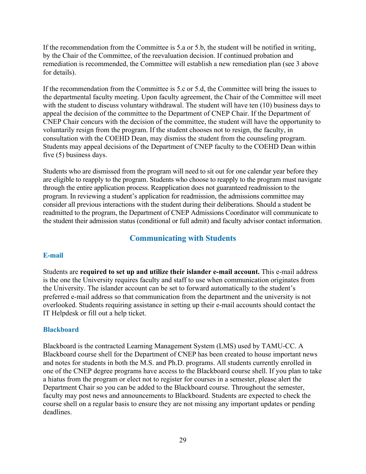If the recommendation from the Committee is 5.a or 5.b, the student will be notified in writing, by the Chair of the Committee, of the reevaluation decision. If continued probation and remediation is recommended, the Committee will establish a new remediation plan (see 3 above for details).

If the recommendation from the Committee is 5.c or 5.d, the Committee will bring the issues to the departmental faculty meeting. Upon faculty agreement, the Chair of the Committee will meet with the student to discuss voluntary withdrawal. The student will have ten (10) business days to appeal the decision of the committee to the Department of CNEP Chair. If the Department of CNEP Chair concurs with the decision of the committee, the student will have the opportunity to voluntarily resign from the program. If the student chooses not to resign, the faculty, in consultation with the COEHD Dean, may dismiss the student from the counseling program. Students may appeal decisions of the Department of CNEP faculty to the COEHD Dean within five (5) business days.

Students who are dismissed from the program will need to sit out for one calendar year before they are eligible to reapply to the program. Students who choose to reapply to the program must navigate through the entire application process. Reapplication does not guaranteed readmission to the program. In reviewing a student's application for readmission, the admissions committee may consider all previous interactions with the student during their deliberations. Should a student be readmitted to the program, the Department of CNEP Admissions Coordinator will communicate to the student their admission status (conditional or full admit) and faculty advisor contact information.

# **Communicating with Students**

#### **E-mail**

Students are **required to set up and utilize their islander e-mail account.** This e-mail address is the one the University requires faculty and staff to use when communication originates from the University. The islander account can be set to forward automatically to the student's preferred e-mail address so that communication from the department and the university is not overlooked. Students requiring assistance in setting up their e-mail accounts should contact the IT Helpdesk or fill out a help ticket.

#### **Blackboard**

Blackboard is the contracted Learning Management System (LMS) used by TAMU-CC. A Blackboard course shell for the Department of CNEP has been created to house important news and notes for students in both the M.S. and Ph.D. programs. All students currently enrolled in one of the CNEP degree programs have access to the Blackboard course shell. If you plan to take a hiatus from the program or elect not to register for courses in a semester, please alert the Department Chair so you can be added to the Blackboard course. Throughout the semester, faculty may post news and announcements to Blackboard. Students are expected to check the course shell on a regular basis to ensure they are not missing any important updates or pending deadlines.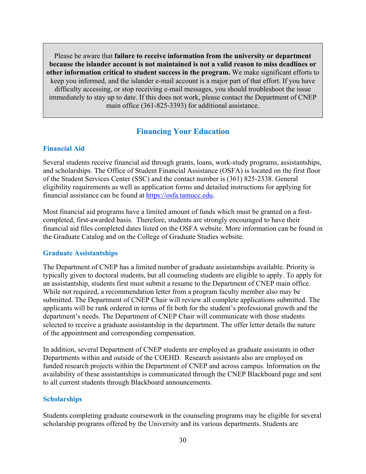Please be aware that **failure to receive information from the university or department because the islander account is not maintained is not a valid reason to miss deadlines or other information critical to student success in the program.** We make significant efforts to keep you informed, and the islander e-mail account is a major part of that effort. If you have difficulty accessing, or stop receiving e-mail messages, you should troubleshoot the issue immediately to stay up to date. If this does not work, please contact the Department of CNEP main office (361-825-3393) for additional assistance.

# **Financing Your Education**

#### **Financial Aid**

Several students receive financial aid through grants, loans, work-study programs, assistantships, and scholarships. The Office of Student Financial Assistance (OSFA) is located on the first floor of the Student Services Center (SSC) and the contact number is (361) 825-2338. General eligibility requirements as well as application forms and detailed instructions for applying for financial assistance can be found at https://osfa.tamucc.edu.

Most financial aid programs have a limited amount of funds which must be granted on a firstcompleted, first-awarded basis. Therefore, students are strongly encouraged to have their financial aid files completed dates listed on the OSFA website. More information can be found in the Graduate Catalog and on the College of Graduate Studies website.

#### **Graduate Assistantships**

The Department of CNEP has a limited number of graduate assistantships available. Priority is typically given to doctoral students, but all counseling students are eligible to apply. To apply for an assistantship, students first must submit a resume to the Department of CNEP main office. While not required, a recommendation letter from a program faculty member also may be submitted. The Department of CNEP Chair will review all complete applications submitted. The applicants will be rank ordered in terms of fit both for the student's professional growth and the department's needs. The Department of CNEP Chair will communicate with those students selected to receive a graduate assistantship in the department. The offer letter details the nature of the appointment and corresponding compensation.

In addition, several Department of CNEP students are employed as graduate assistants in other Departments within and outside of the COEHD. Research assistants also are employed on funded research projects within the Department of CNEP and across campus. Information on the availability of these assistantships is communicated through the CNEP Blackboard page and sent to all current students through Blackboard announcements.

#### **Scholarships**

Students completing graduate coursework in the counseling programs may be eligible for several scholarship programs offered by the University and its various departments. Students are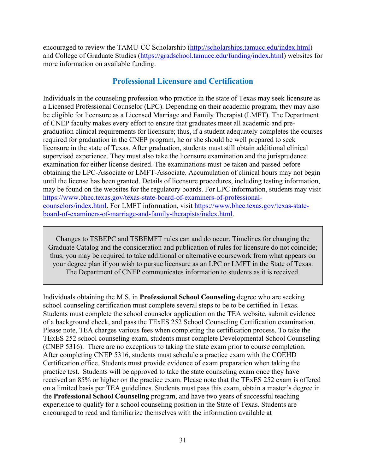encouraged to review the TAMU-CC Scholarship (http://scholarships.tamucc.edu/index.html) and College of Graduate Studies (https://gradschool.tamucc.edu/funding/index.html) websites for more information on available funding.

# **Professional Licensure and Certification**

Individuals in the counseling profession who practice in the state of Texas may seek licensure as a Licensed Professional Counselor (LPC). Depending on their academic program, they may also be eligible for licensure as a Licensed Marriage and Family Therapist (LMFT). The Department of CNEP faculty makes every effort to ensure that graduates meet all academic and pregraduation clinical requirements for licensure; thus, if a student adequately completes the courses required for graduation in the CNEP program, he or she should be well prepared to seek licensure in the state of Texas. After graduation, students must still obtain additional clinical supervised experience. They must also take the licensure examination and the jurisprudence examination for either license desired. The examinations must be taken and passed before obtaining the LPC-Associate or LMFT-Associate. Accumulation of clinical hours may not begin until the license has been granted. Details of licensure procedures, including testing information, may be found on the websites for the regulatory boards. For LPC information, students may visit https://www.bhec.texas.gov/texas-state-board-of-examiners-of-professionalcounselors/index.html. For LMFT information, visit https://www.bhec.texas.gov/texas-stateboard-of-examiners-of-marriage-and-family-therapists/index.html.

Changes to TSBEPC and TSBEMFT rules can and do occur. Timelines for changing the Graduate Catalog and the consideration and publication of rules for licensure do not coincide; thus, you may be required to take additional or alternative coursework from what appears on your degree plan if you wish to pursue licensure as an LPC or LMFT in the State of Texas. The Department of CNEP communicates information to students as it is received.

Individuals obtaining the M.S. in **Professional School Counseling** degree who are seeking school counseling certification must complete several steps to be to be certified in Texas. Students must complete the school counselor application on the TEA website, submit evidence of a background check, and pass the TExES 252 School Counseling Certification examination. Please note, TEA charges various fees when completing the certification process. To take the TExES 252 school counseling exam, students must complete Developmental School Counseling (CNEP 5316). There are no exceptions to taking the state exam prior to course completion. After completing CNEP 5316, students must schedule a practice exam with the COEHD Certification office. Students must provide evidence of exam preparation when taking the practice test. Students will be approved to take the state counseling exam once they have received an 85% or higher on the practice exam. Please note that the TExES 252 exam is offered on a limited basis per TEA guidelines. Students must pass this exam, obtain a master's degree in the **Professional School Counseling** program, and have two years of successful teaching experience to qualify for a school counseling position in the State of Texas. Students are encouraged to read and familiarize themselves with the information available at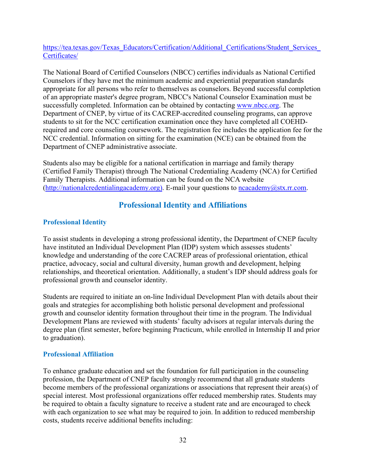https://tea.texas.gov/Texas\_Educators/Certification/Additional\_Certifications/Student\_Services Certificates/

The National Board of Certified Counselors (NBCC) certifies individuals as National Certified Counselors if they have met the minimum academic and experiential preparation standards appropriate for all persons who refer to themselves as counselors. Beyond successful completion of an appropriate master's degree program, NBCC's National Counselor Examination must be successfully completed. Information can be obtained by contacting www.nbcc.org. The Department of CNEP, by virtue of its CACREP-accredited counseling programs, can approve students to sit for the NCC certification examination once they have completed all COEHDrequired and core counseling coursework. The registration fee includes the application fee for the NCC credential. Information on sitting for the examination (NCE) can be obtained from the Department of CNEP administrative associate.

Students also may be eligible for a national certification in marriage and family therapy (Certified Family Therapist) through The National Credentialing Academy (NCA) for Certified Family Therapists. Additional information can be found on the NCA website (http://nationalcredentialingacademy.org). E-mail your questions to ncacademy@stx.rr.com.

# **Professional Identity and Affiliations**

# **Professional Identity**

To assist students in developing a strong professional identity, the Department of CNEP faculty have instituted an Individual Development Plan (IDP) system which assesses students' knowledge and understanding of the core CACREP areas of professional orientation, ethical practice, advocacy, social and cultural diversity, human growth and development, helping relationships, and theoretical orientation. Additionally, a student's IDP should address goals for professional growth and counselor identity.

Students are required to initiate an on-line Individual Development Plan with details about their goals and strategies for accomplishing both holistic personal development and professional growth and counselor identity formation throughout their time in the program. The Individual Development Plans are reviewed with students' faculty advisors at regular intervals during the degree plan (first semester, before beginning Practicum, while enrolled in Internship II and prior to graduation).

# **Professional Affiliation**

To enhance graduate education and set the foundation for full participation in the counseling profession, the Department of CNEP faculty strongly recommend that all graduate students become members of the professional organizations or associations that represent their area(s) of special interest. Most professional organizations offer reduced membership rates. Students may be required to obtain a faculty signature to receive a student rate and are encouraged to check with each organization to see what may be required to join. In addition to reduced membership costs, students receive additional benefits including: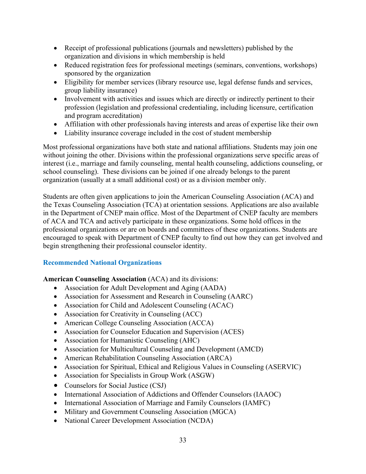- Receipt of professional publications (journals and newsletters) published by the organization and divisions in which membership is held
- Reduced registration fees for professional meetings (seminars, conventions, workshops) sponsored by the organization
- Eligibility for member services (library resource use, legal defense funds and services, group liability insurance)
- Involvement with activities and issues which are directly or indirectly pertinent to their profession (legislation and professional credentialing, including licensure, certification and program accreditation)
- Affiliation with other professionals having interests and areas of expertise like their own
- Liability insurance coverage included in the cost of student membership

Most professional organizations have both state and national affiliations. Students may join one without joining the other. Divisions within the professional organizations serve specific areas of interest (i.e., marriage and family counseling, mental health counseling, addictions counseling, or school counseling). These divisions can be joined if one already belongs to the parent organization (usually at a small additional cost) or as a division member only.

Students are often given applications to join the American Counseling Association (ACA) and the Texas Counseling Association (TCA) at orientation sessions. Applications are also available in the Department of CNEP main office. Most of the Department of CNEP faculty are members of ACA and TCA and actively participate in these organizations. Some hold offices in the professional organizations or are on boards and committees of these organizations. Students are encouraged to speak with Department of CNEP faculty to find out how they can get involved and begin strengthening their professional counselor identity.

# **Recommended National Organizations**

# **American Counseling Association** (ACA) and its divisions:

- Association for Adult Development and Aging (AADA)
- Association for Assessment and Research in Counseling (AARC)
- Association for Child and Adolescent Counseling (ACAC)
- Association for Creativity in Counseling (ACC)
- American College Counseling Association (ACCA)
- Association for Counselor Education and Supervision (ACES)
- Association for Humanistic Counseling (AHC)
- Association for Multicultural Counseling and Development (AMCD)
- American Rehabilitation Counseling Association (ARCA)
- Association for Spiritual, Ethical and Religious Values in Counseling (ASERVIC)
- Association for Specialists in Group Work (ASGW)
- Counselors for Social Justice (CSJ)
- International Association of Addictions and Offender Counselors (IAAOC)
- International Association of Marriage and Family Counselors (IAMFC)
- Military and Government Counseling Association (MGCA)
- National Career Development Association (NCDA)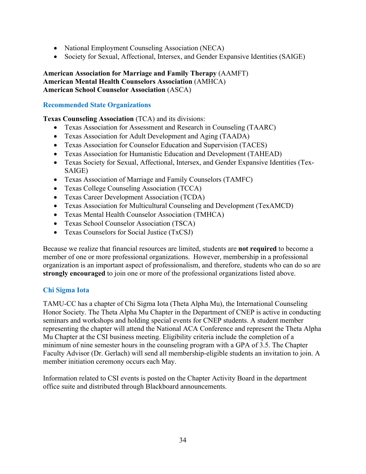- National Employment Counseling Association (NECA)
- Society for Sexual, Affectional, Intersex, and Gender Expansive Identities (SAIGE)

**American Association for Marriage and Family Therapy** (AAMFT) **American Mental Health Counselors Association** (AMHCA) **American School Counselor Association** (ASCA)

# **Recommended State Organizations**

# **Texas Counseling Association** (TCA) and its divisions:

- Texas Association for Assessment and Research in Counseling (TAARC)
- Texas Association for Adult Development and Aging (TAADA)
- Texas Association for Counselor Education and Supervision (TACES)
- Texas Association for Humanistic Education and Development (TAHEAD)
- Texas Society for Sexual, Affectional, Intersex, and Gender Expansive Identities (Tex-SAIGE)
- Texas Association of Marriage and Family Counselors (TAMFC)
- Texas College Counseling Association (TCCA)
- Texas Career Development Association (TCDA)
- Texas Association for Multicultural Counseling and Development (TexAMCD)
- Texas Mental Health Counselor Association (TMHCA)
- Texas School Counselor Association (TSCA)
- Texas Counselors for Social Justice (TxCSJ)

Because we realize that financial resources are limited, students are **not required** to become a member of one or more professional organizations. However, membership in a professional organization is an important aspect of professionalism, and therefore, students who can do so are **strongly encouraged** to join one or more of the professional organizations listed above.

# **Chi Sigma Iota**

TAMU-CC has a chapter of Chi Sigma Iota (Theta Alpha Mu), the International Counseling Honor Society. The Theta Alpha Mu Chapter in the Department of CNEP is active in conducting seminars and workshops and holding special events for CNEP students. A student member representing the chapter will attend the National ACA Conference and represent the Theta Alpha Mu Chapter at the CSI business meeting. Eligibility criteria include the completion of a minimum of nine semester hours in the counseling program with a GPA of 3.5. The Chapter Faculty Advisor (Dr. Gerlach) will send all membership-eligible students an invitation to join. A member initiation ceremony occurs each May.

Information related to CSI events is posted on the Chapter Activity Board in the department office suite and distributed through Blackboard announcements.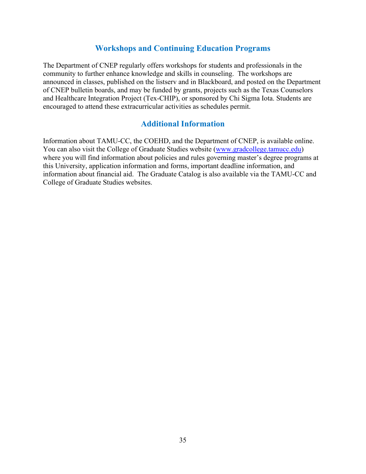# **Workshops and Continuing Education Programs**

The Department of CNEP regularly offers workshops for students and professionals in the community to further enhance knowledge and skills in counseling. The workshops are announced in classes, published on the listserv and in Blackboard, and posted on the Department of CNEP bulletin boards, and may be funded by grants, projects such as the Texas Counselors and Healthcare Integration Project (Tex-CHIP), or sponsored by Chi Sigma Iota. Students are encouraged to attend these extracurricular activities as schedules permit.

# **Additional Information**

Information about TAMU-CC, the COEHD, and the Department of CNEP, is available online. You can also visit the College of Graduate Studies website (www.gradcollege.tamucc.edu) where you will find information about policies and rules governing master's degree programs at this University, application information and forms, important deadline information, and information about financial aid. The Graduate Catalog is also available via the TAMU-CC and College of Graduate Studies websites.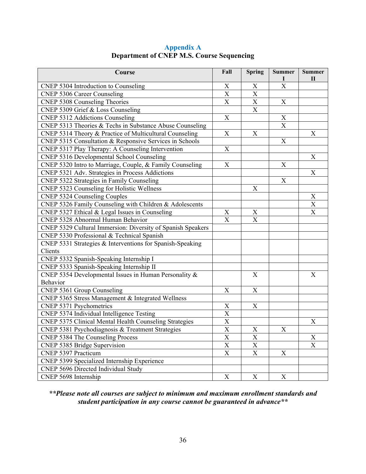| Course                                                      | Fall                      | <b>Spring</b>             | <b>Summer</b>         | <b>Summer</b><br>$\mathbf H$ |
|-------------------------------------------------------------|---------------------------|---------------------------|-----------------------|------------------------------|
| CNEP 5304 Introduction to Counseling                        | X                         | X                         | $\overline{\text{X}}$ |                              |
| <b>CNEP 5306 Career Counseling</b>                          | X                         | $\mathbf X$               |                       |                              |
| CNEP 5308 Counseling Theories                               | X                         | $\overline{\mathbf{X}}$   | X                     |                              |
| CNEP 5309 Grief & Loss Counseling                           |                           | $\mathbf X$               |                       |                              |
| <b>CNEP 5312 Addictions Counseling</b>                      | $\boldsymbol{\mathrm{X}}$ |                           | X                     |                              |
| CNEP 5313 Theories & Techs in Substance Abuse Counseling    |                           |                           | $\mathbf X$           |                              |
| CNEP 5314 Theory & Practice of Multicultural Counseling     | $\boldsymbol{\mathrm{X}}$ | $\boldsymbol{X}$          |                       | Х                            |
| CNEP 5315 Consultation & Responsive Services in Schools     |                           |                           | X                     |                              |
| CNEP 5317 Play Therapy: A Counseling Intervention           | X                         |                           |                       |                              |
| CNEP 5316 Developmental School Counseling                   |                           |                           |                       | X                            |
| CNEP 5320 Intro to Marriage, Couple, & Family Counseling    | $\boldsymbol{\mathrm{X}}$ |                           | X                     |                              |
| CNEP 5321 Adv. Strategies in Process Addictions             |                           |                           |                       | $\boldsymbol{\mathrm{X}}$    |
| CNEP 5322 Strategies in Family Counseling                   |                           |                           | X                     |                              |
| CNEP 5323 Counseling for Holistic Wellness                  |                           | $\boldsymbol{\mathrm{X}}$ |                       |                              |
| <b>CNEP 5324 Counseling Couples</b>                         |                           |                           |                       | X                            |
| CNEP 5326 Family Counseling with Children & Adolescents     |                           |                           |                       | $\boldsymbol{\mathrm{X}}$    |
| CNEP 5327 Ethical & Legal Issues in Counseling              | $\mathbf X$               | $\mathbf X$               |                       | X                            |
| CNEP 5328 Abnormal Human Behavior                           | $\boldsymbol{\mathrm{X}}$ | $\overline{\text{X}}$     |                       |                              |
| CNEP 5329 Cultural Immersion: Diversity of Spanish Speakers |                           |                           |                       |                              |
| CNEP 5330 Professional & Technical Spanish                  |                           |                           |                       |                              |
| CNEP 5331 Strategies & Interventions for Spanish-Speaking   |                           |                           |                       |                              |
| Clients                                                     |                           |                           |                       |                              |
| CNEP 5332 Spanish-Speaking Internship I                     |                           |                           |                       |                              |
| CNEP 5333 Spanish-Speaking Internship II                    |                           |                           |                       |                              |
| CNEP 5354 Developmental Issues in Human Personality &       |                           | $\boldsymbol{\mathrm{X}}$ |                       | $\boldsymbol{X}$             |
| Behavior                                                    |                           |                           |                       |                              |
| CNEP 5361 Group Counseling                                  | X                         | $\mathbf X$               |                       |                              |
| CNEP 5365 Stress Management & Integrated Wellness           |                           |                           |                       |                              |
| CNEP 5371 Psychometrics                                     | $\boldsymbol{\mathrm{X}}$ | $\boldsymbol{\mathrm{X}}$ |                       |                              |
| CNEP 5374 Individual Intelligence Testing                   | $\overline{\text{X}}$     |                           |                       |                              |
| CNEP 5375 Clinical Mental Health Counseling Strategies      | $\overline{X}$            |                           |                       | X                            |
| CNEP 5381 Psychodiagnosis & Treatment Strategies            | $\overline{X}$            | $\mathbf X$               | X                     |                              |
| <b>CNEP 5384 The Counseling Process</b>                     | $\overline{X}$            | $\overline{X}$            |                       | X                            |
| CNEP 5385 Bridge Supervision                                | $\mathbf X$               | $\mathbf X$               |                       | $\boldsymbol{\mathrm{X}}$    |
| CNEP 5397 Practicum                                         | $\boldsymbol{\mathrm{X}}$ | $\mathbf X$               | X                     |                              |
| CNEP 5399 Specialized Internship Experience                 |                           |                           |                       |                              |
| CNEP 5696 Directed Individual Study                         |                           |                           |                       |                              |
| CNEP 5698 Internship                                        | $\mathbf X$               | $\mathbf X$               | X                     |                              |

# **Appendix A Department of CNEP M.S. Course Sequencing**

*\*\*Please note all courses are subject to minimum and maximum enrollment standards and student participation in any course cannot be guaranteed in advance\*\**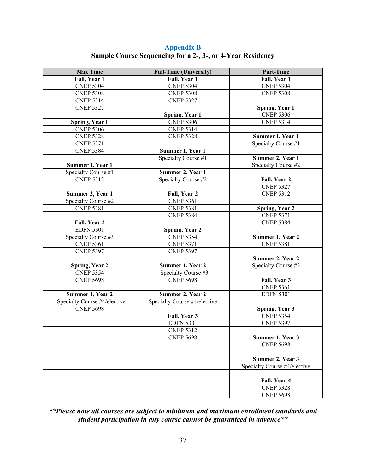**Appendix B Sample Course Sequencing for a 2-, 3-, or 4-Year Residency** 

| <b>Max Time</b>              | <b>Full-Time (University)</b> | Part-Time                                 |
|------------------------------|-------------------------------|-------------------------------------------|
| Fall, Year 1                 | Fall, Year 1                  | Fall, Year 1                              |
| <b>CNEP 5304</b>             | <b>CNEP 5304</b>              | <b>CNEP 5304</b>                          |
| <b>CNEP 5308</b>             | <b>CNEP 5308</b>              | <b>CNEP 5308</b>                          |
| <b>CNEP 5314</b>             | <b>CNEP 5327</b>              |                                           |
| <b>CNEP 5327</b>             |                               | Spring, Year 1                            |
|                              | Spring, Year 1                | <b>CNEP 5306</b>                          |
| Spring, Year 1               | <b>CNEP 5306</b>              | <b>CNEP 5314</b>                          |
| <b>CNEP 5306</b>             | <b>CNEP 5314</b>              |                                           |
| <b>CNEP 5328</b>             | <b>CNEP 5328</b>              | Summer I, Year 1                          |
| <b>CNEP 5371</b>             |                               | Specialty Course #1                       |
| <b>CNEP 5384</b>             | Summer I, Year 1              |                                           |
|                              | Specialty Course #1           | Summer 2, Year 1                          |
| Summer I, Year 1             |                               | Specialty Course #2                       |
| Specialty Course #1          | Summer 2, Year 1              |                                           |
| <b>CNEP 5312</b>             | Specialty Course #2           | Fall, Year 2                              |
|                              |                               | <b>CNEP 5327</b>                          |
| Summer 2, Year 1             | Fall, Year 2                  | <b>CNEP 5312</b>                          |
| Specialty Course #2          | <b>CNEP 5361</b>              |                                           |
| <b>CNEP 5381</b>             | <b>CNEP 5381</b>              |                                           |
|                              |                               | <b>Spring, Year 2</b><br><b>CNEP 5371</b> |
|                              | <b>CNEP 5384</b>              | <b>CNEP 5384</b>                          |
| Fall, Year 2                 |                               |                                           |
| <b>EDFN 5301</b>             | <b>Spring, Year 2</b>         |                                           |
| Specialty Course #3          | <b>CNEP 5354</b>              | Summer 1, Year 2                          |
| <b>CNEP 5361</b>             | <b>CNEP 5371</b>              | <b>CNEP 5381</b>                          |
| <b>CNEP 5397</b>             | <b>CNEP 5397</b>              |                                           |
|                              |                               | Summer 2, Year 2                          |
| <b>Spring, Year 2</b>        | Summer 1, Year 2              | Specialty Course #3                       |
| <b>CNEP 5354</b>             | Specialty Course #3           |                                           |
| <b>CNEP 5698</b>             | <b>CNEP 5698</b>              | Fall, Year 3                              |
|                              |                               | <b>CNEP 5361</b>                          |
| Summer 1, Year 2             | Summer 2, Year 2              | <b>EDFN 5301</b>                          |
| Specialty Course #4/elective | Specialty Course #4/elective  |                                           |
| <b>CNEP 5698</b>             |                               | Spring, Year 3                            |
|                              | Fall, Year 3                  | <b>CNEP 5354</b>                          |
|                              | <b>EDFN 5301</b>              | <b>CNEP 5397</b>                          |
|                              | <b>CNEP 5312</b>              |                                           |
|                              | <b>CNEP 5698</b>              | Summer 1, Year 3                          |
|                              |                               | <b>CNEP 5698</b>                          |
|                              |                               |                                           |
|                              |                               | Summer 2, Year 3                          |
|                              |                               | Specialty Course #4/elective              |
|                              |                               |                                           |
|                              |                               | Fall, Year 4                              |
|                              |                               | <b>CNEP 5328</b>                          |
|                              |                               | <b>CNEP 5698</b>                          |

*\*\*Please note all courses are subject to minimum and maximum enrollment standards and student participation in any course cannot be guaranteed in advance\*\**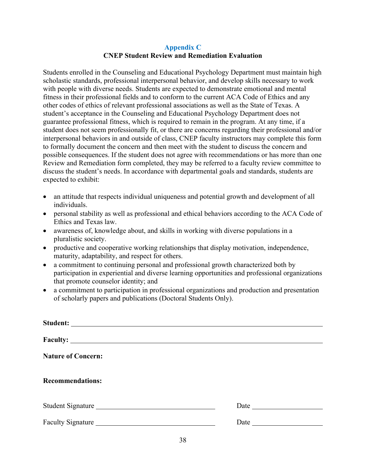### **Appendix C CNEP Student Review and Remediation Evaluation**

Students enrolled in the Counseling and Educational Psychology Department must maintain high scholastic standards, professional interpersonal behavior, and develop skills necessary to work with people with diverse needs. Students are expected to demonstrate emotional and mental fitness in their professional fields and to conform to the current ACA Code of Ethics and any other codes of ethics of relevant professional associations as well as the State of Texas. A student's acceptance in the Counseling and Educational Psychology Department does not guarantee professional fitness, which is required to remain in the program. At any time, if a student does not seem professionally fit, or there are concerns regarding their professional and/or interpersonal behaviors in and outside of class, CNEP faculty instructors may complete this form to formally document the concern and then meet with the student to discuss the concern and possible consequences. If the student does not agree with recommendations or has more than one Review and Remediation form completed, they may be referred to a faculty review committee to discuss the student's needs. In accordance with departmental goals and standards, students are expected to exhibit:

- an attitude that respects individual uniqueness and potential growth and development of all individuals.
- personal stability as well as professional and ethical behaviors according to the ACA Code of Ethics and Texas law.
- awareness of, knowledge about, and skills in working with diverse populations in a pluralistic society.
- productive and cooperative working relationships that display motivation, independence, maturity, adaptability, and respect for others.
- a commitment to continuing personal and professional growth characterized both by participation in experiential and diverse learning opportunities and professional organizations that promote counselor identity; and
- a commitment to participation in professional organizations and production and presentation of scholarly papers and publications (Doctoral Students Only).

| <b>Nature of Concern:</b> |  |
|---------------------------|--|
| <b>Recommendations:</b>   |  |
| Student Signature         |  |
| Faculty Signature         |  |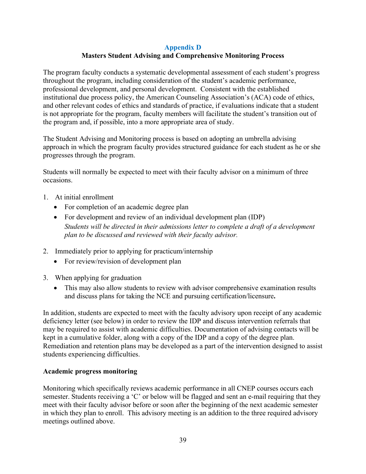### **Appendix D Masters Student Advising and Comprehensive Monitoring Process**

The program faculty conducts a systematic developmental assessment of each student's progress throughout the program, including consideration of the student's academic performance, professional development, and personal development. Consistent with the established institutional due process policy, the American Counseling Association's (ACA) code of ethics, and other relevant codes of ethics and standards of practice, if evaluations indicate that a student is not appropriate for the program, faculty members will facilitate the student's transition out of the program and, if possible, into a more appropriate area of study.

The Student Advising and Monitoring process is based on adopting an umbrella advising approach in which the program faculty provides structured guidance for each student as he or she progresses through the program.

Students will normally be expected to meet with their faculty advisor on a minimum of three occasions.

- 1. At initial enrollment
	- For completion of an academic degree plan
	- For development and review of an individual development plan (IDP) *Students will be directed in their admissions letter to complete a draft of a development plan to be discussed and reviewed with their faculty advisor.*
- 2. Immediately prior to applying for practicum/internship
	- For review/revision of development plan
- 3. When applying for graduation
	- This may also allow students to review with advisor comprehensive examination results and discuss plans for taking the NCE and pursuing certification/licensure**.**

In addition, students are expected to meet with the faculty advisory upon receipt of any academic deficiency letter (see below) in order to review the IDP and discuss intervention referrals that may be required to assist with academic difficulties. Documentation of advising contacts will be kept in a cumulative folder, along with a copy of the IDP and a copy of the degree plan. Remediation and retention plans may be developed as a part of the intervention designed to assist students experiencing difficulties.

#### **Academic progress monitoring**

Monitoring which specifically reviews academic performance in all CNEP courses occurs each semester. Students receiving a 'C' or below will be flagged and sent an e-mail requiring that they meet with their faculty advisor before or soon after the beginning of the next academic semester in which they plan to enroll. This advisory meeting is an addition to the three required advisory meetings outlined above.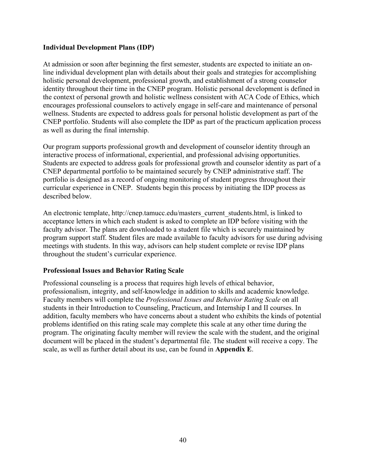### **Individual Development Plans (IDP)**

At admission or soon after beginning the first semester, students are expected to initiate an online individual development plan with details about their goals and strategies for accomplishing holistic personal development, professional growth, and establishment of a strong counselor identity throughout their time in the CNEP program. Holistic personal development is defined in the context of personal growth and holistic wellness consistent with ACA Code of Ethics, which encourages professional counselors to actively engage in self-care and maintenance of personal wellness. Students are expected to address goals for personal holistic development as part of the CNEP portfolio. Students will also complete the IDP as part of the practicum application process as well as during the final internship.

Our program supports professional growth and development of counselor identity through an interactive process of informational, experiential, and professional advising opportunities. Students are expected to address goals for professional growth and counselor identity as part of a CNEP departmental portfolio to be maintained securely by CNEP administrative staff. The portfolio is designed as a record of ongoing monitoring of student progress throughout their curricular experience in CNEP. Students begin this process by initiating the IDP process as described below.

An electronic template, http://cnep.tamucc.edu/masters\_current\_students.html, is linked to acceptance letters in which each student is asked to complete an IDP before visiting with the faculty advisor. The plans are downloaded to a student file which is securely maintained by program support staff. Student files are made available to faculty advisors for use during advising meetings with students. In this way, advisors can help student complete or revise IDP plans throughout the student's curricular experience.

### **Professional Issues and Behavior Rating Scale**

Professional counseling is a process that requires high levels of ethical behavior, professionalism, integrity, and self-knowledge in addition to skills and academic knowledge. Faculty members will complete the *Professional Issues and Behavior Rating Scale* on all students in their Introduction to Counseling, Practicum, and Internship I and II courses. In addition, faculty members who have concerns about a student who exhibits the kinds of potential problems identified on this rating scale may complete this scale at any other time during the program. The originating faculty member will review the scale with the student, and the original document will be placed in the student's departmental file. The student will receive a copy. The scale, as well as further detail about its use, can be found in **Appendix E**.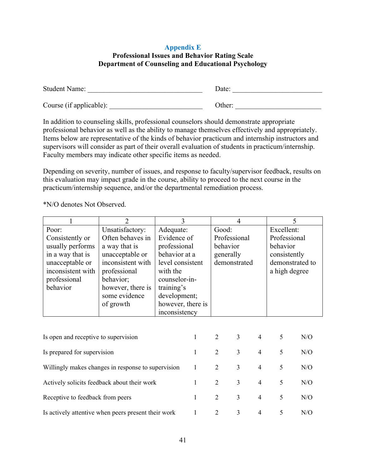### **Appendix E Professional Issues and Behavior Rating Scale Department of Counseling and Educational Psychology**

| <b>Student Name:</b>    | Date:  |
|-------------------------|--------|
| Course (if applicable): | Other: |

In addition to counseling skills, professional counselors should demonstrate appropriate professional behavior as well as the ability to manage themselves effectively and appropriately. Items below are representative of the kinds of behavior practicum and internship instructors and supervisors will consider as part of their overall evaluation of students in practicum/internship. Faculty members may indicate other specific items as needed.

Depending on severity, number of issues, and response to faculty/supervisor feedback, results on this evaluation may impact grade in the course, ability to proceed to the next course in the practicum/internship sequence, and/or the departmental remediation process.

\*N/O denotes Not Observed.

|                                                                                                                                      | $\overline{2}$                                                                                                                                                               | 3                                                                                                                                                                              |                | $\overline{4}$                                                 |                          | 5                                                                                          |     |     |
|--------------------------------------------------------------------------------------------------------------------------------------|------------------------------------------------------------------------------------------------------------------------------------------------------------------------------|--------------------------------------------------------------------------------------------------------------------------------------------------------------------------------|----------------|----------------------------------------------------------------|--------------------------|--------------------------------------------------------------------------------------------|-----|-----|
| Poor:<br>Consistently or<br>usually performs<br>in a way that is<br>unacceptable or<br>inconsistent with<br>professional<br>behavior | Unsatisfactory:<br>Often behaves in<br>a way that is<br>unacceptable or<br>inconsistent with<br>professional<br>behavior;<br>however, there is<br>some evidence<br>of growth | Adequate:<br>Evidence of<br>professional<br>behavior at a<br>level consistent<br>with the<br>counselor-in-<br>training's<br>development;<br>however, there is<br>inconsistency |                | Good:<br>Professional<br>behavior<br>generally<br>demonstrated |                          | Excellent:<br>Professional<br>behavior<br>consistently<br>demonstrated to<br>a high degree |     |     |
| Is open and receptive to supervision<br>1                                                                                            |                                                                                                                                                                              |                                                                                                                                                                                |                | $\overline{2}$                                                 | 3                        | $\overline{4}$                                                                             | 5   | N/O |
| Is prepared for supervision                                                                                                          |                                                                                                                                                                              |                                                                                                                                                                                | 1              | $\overline{2}$                                                 | 3                        | $\overline{4}$                                                                             | 5   | N/O |
| Willingly makes changes in response to supervision                                                                                   |                                                                                                                                                                              |                                                                                                                                                                                | 1              | $\overline{2}$                                                 | 3                        | $\overline{4}$                                                                             | 5   | N/O |
| Actively solicits feedback about their work                                                                                          |                                                                                                                                                                              |                                                                                                                                                                                | $\overline{2}$ | 3                                                              | $\overline{\mathcal{A}}$ | 5                                                                                          | N/O |     |
| Receptive to feedback from peers                                                                                                     |                                                                                                                                                                              | 1                                                                                                                                                                              | $\overline{2}$ | 3                                                              | $\overline{4}$           | 5                                                                                          | N/O |     |
| Is actively attentive when peers present their work                                                                                  |                                                                                                                                                                              |                                                                                                                                                                                |                | 2                                                              | 3                        | 4                                                                                          | 5   | N/O |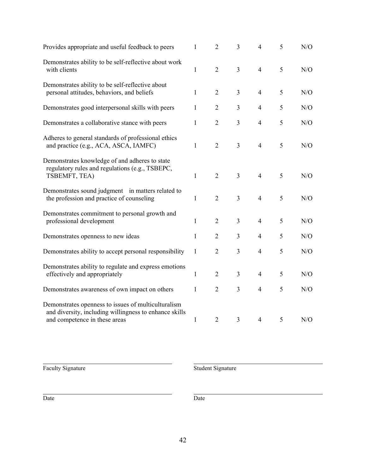| Provides appropriate and useful feedback to peers                                                                                              | $\mathbf{1}$ | $\overline{2}$ | 3              | $\overline{4}$ | 5 | ${\rm N/O}$ |
|------------------------------------------------------------------------------------------------------------------------------------------------|--------------|----------------|----------------|----------------|---|-------------|
| Demonstrates ability to be self-reflective about work<br>with clients                                                                          | $\mathbf{1}$ | $\overline{2}$ | $\overline{3}$ | $\overline{4}$ | 5 | N/O         |
| Demonstrates ability to be self-reflective about<br>personal attitudes, behaviors, and beliefs                                                 | $\mathbf{1}$ | 2              | 3              | $\overline{4}$ | 5 | N/O         |
| Demonstrates good interpersonal skills with peers                                                                                              | $\mathbf{1}$ | $\overline{2}$ | 3              | $\overline{4}$ | 5 | N/O         |
| Demonstrates a collaborative stance with peers                                                                                                 | $\mathbf{1}$ | $\overline{2}$ | $\overline{3}$ | $\overline{4}$ | 5 | N/O         |
| Adheres to general standards of professional ethics<br>and practice (e.g., ACA, ASCA, IAMFC)                                                   | $\mathbf{1}$ | $\overline{2}$ | 3              | $\overline{4}$ | 5 | N/O         |
| Demonstrates knowledge of and adheres to state<br>regulatory rules and regulations (e.g., TSBEPC,<br>TSBEMFT, TEA)                             | $\mathbf{1}$ | $\overline{2}$ | $\overline{3}$ | $\overline{4}$ | 5 | N/O         |
| Demonstrates sound judgment in matters related to<br>the profession and practice of counseling                                                 | $\mathbf{1}$ | $\overline{2}$ | 3              | $\overline{4}$ | 5 | N/O         |
| Demonstrates commitment to personal growth and<br>professional development                                                                     | $\mathbf{1}$ | $\overline{2}$ | $\overline{3}$ | $\overline{4}$ | 5 | N/O         |
| Demonstrates openness to new ideas                                                                                                             | $\mathbf{1}$ | $\overline{2}$ | 3              | $\overline{4}$ | 5 | N/O         |
| Demonstrates ability to accept personal responsibility                                                                                         | 1            | $\overline{2}$ | 3              | $\overline{4}$ | 5 | N/O         |
| Demonstrates ability to regulate and express emotions<br>effectively and appropriately                                                         | $\mathbf{1}$ | $\overline{2}$ | $\overline{3}$ | $\overline{4}$ | 5 | N/O         |
| Demonstrates awareness of own impact on others                                                                                                 | $\mathbf{1}$ | $\overline{2}$ | $\overline{3}$ | $\overline{4}$ | 5 | N/O         |
| Demonstrates openness to issues of multiculturalism<br>and diversity, including willingness to enhance skills<br>and competence in these areas | $\mathbf{1}$ | $\overline{2}$ | $\overline{3}$ | $\overline{4}$ | 5 | N/O         |

Faculty Signature

Student Signature

Date Date Date